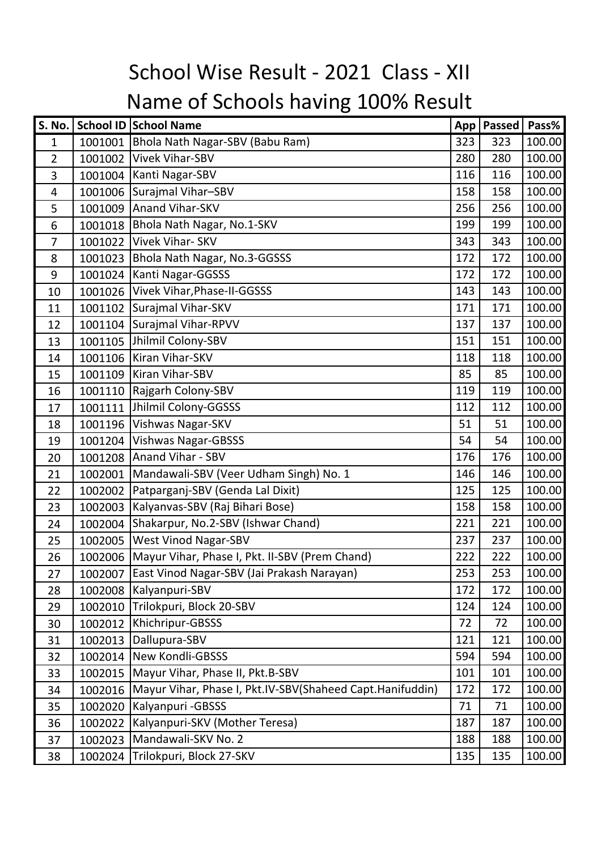| <b>S. No.</b>  |         | School ID School Name                                     | App | <b>Passed</b> | Pass%  |
|----------------|---------|-----------------------------------------------------------|-----|---------------|--------|
| $\mathbf{1}$   | 1001001 | Bhola Nath Nagar-SBV (Babu Ram)                           | 323 | 323           | 100.00 |
| $\overline{2}$ | 1001002 | <b>Vivek Vihar-SBV</b>                                    | 280 | 280           | 100.00 |
| 3              |         | 1001004   Kanti Nagar-SBV                                 | 116 | 116           | 100.00 |
| 4              | 1001006 | Surajmal Vihar-SBV                                        | 158 | 158           | 100.00 |
| 5              | 1001009 | <b>Anand Vihar-SKV</b>                                    | 256 | 256           | 100.00 |
| 6              | 1001018 | Bhola Nath Nagar, No.1-SKV                                | 199 | 199           | 100.00 |
| $\overline{7}$ |         | 1001022 Vivek Vihar-SKV                                   | 343 | 343           | 100.00 |
| 8              | 1001023 | Bhola Nath Nagar, No.3-GGSSS                              | 172 | 172           | 100.00 |
| 9              | 1001024 | Kanti Nagar-GGSSS                                         | 172 | 172           | 100.00 |
| 10             | 1001026 | Vivek Vihar, Phase-II-GGSSS                               | 143 | 143           | 100.00 |
| 11             | 1001102 | Surajmal Vihar-SKV                                        | 171 | 171           | 100.00 |
| 12             | 1001104 | Surajmal Vihar-RPVV                                       | 137 | 137           | 100.00 |
| 13             | 1001105 | Jhilmil Colony-SBV                                        | 151 | 151           | 100.00 |
| 14             | 1001106 | Kiran Vihar-SKV                                           | 118 | 118           | 100.00 |
| 15             | 1001109 | Kiran Vihar-SBV                                           | 85  | 85            | 100.00 |
| 16             | 1001110 | Rajgarh Colony-SBV                                        | 119 | 119           | 100.00 |
| 17             | 1001111 | Jhilmil Colony-GGSSS                                      | 112 | 112           | 100.00 |
| 18             | 1001196 | Vishwas Nagar-SKV                                         | 51  | 51            | 100.00 |
| 19             | 1001204 | <b>Vishwas Nagar-GBSSS</b>                                | 54  | 54            | 100.00 |
| 20             | 1001208 | Anand Vihar - SBV                                         | 176 | 176           | 100.00 |
| 21             | 1002001 | Mandawali-SBV (Veer Udham Singh) No. 1                    | 146 | 146           | 100.00 |
| 22             | 1002002 | Patparganj-SBV (Genda Lal Dixit)                          | 125 | 125           | 100.00 |
| 23             |         | 1002003   Kalyanvas-SBV (Raj Bihari Bose)                 | 158 | 158           | 100.00 |
| 24             |         | 1002004 Shakarpur, No.2-SBV (Ishwar Chand)                | 221 | 221           | 100.00 |
| 25             | 1002005 | <b>West Vinod Nagar-SBV</b>                               | 237 | 237           | 100.00 |
| 26             |         | 1002006   Mayur Vihar, Phase I, Pkt. II-SBV (Prem Chand)  | 222 | 222           | 100.00 |
| 27             | 1002007 | East Vinod Nagar-SBV (Jai Prakash Narayan)                | 253 | 253           | 100.00 |
| 28             | 1002008 | Kalyanpuri-SBV                                            | 172 | 172           | 100.00 |
| 29             | 1002010 | Trilokpuri, Block 20-SBV                                  | 124 | 124           | 100.00 |
| 30             | 1002012 | Khichripur-GBSSS                                          | 72  | 72            | 100.00 |
| 31             | 1002013 | Dallupura-SBV                                             | 121 | 121           | 100.00 |
| 32             | 1002014 | New Kondli-GBSSS                                          | 594 | 594           | 100.00 |
| 33             | 1002015 | Mayur Vihar, Phase II, Pkt.B-SBV                          | 101 | 101           | 100.00 |
| 34             | 1002016 | Mayur Vihar, Phase I, Pkt.IV-SBV(Shaheed Capt.Hanifuddin) | 172 | 172           | 100.00 |
| 35             | 1002020 | Kalyanpuri - GBSSS                                        | 71  | 71            | 100.00 |
| 36             | 1002022 | Kalyanpuri-SKV (Mother Teresa)                            | 187 | 187           | 100.00 |
| 37             | 1002023 | Mandawali-SKV No. 2                                       | 188 | 188           | 100.00 |
| 38             | 1002024 | Trilokpuri, Block 27-SKV                                  | 135 | 135           | 100.00 |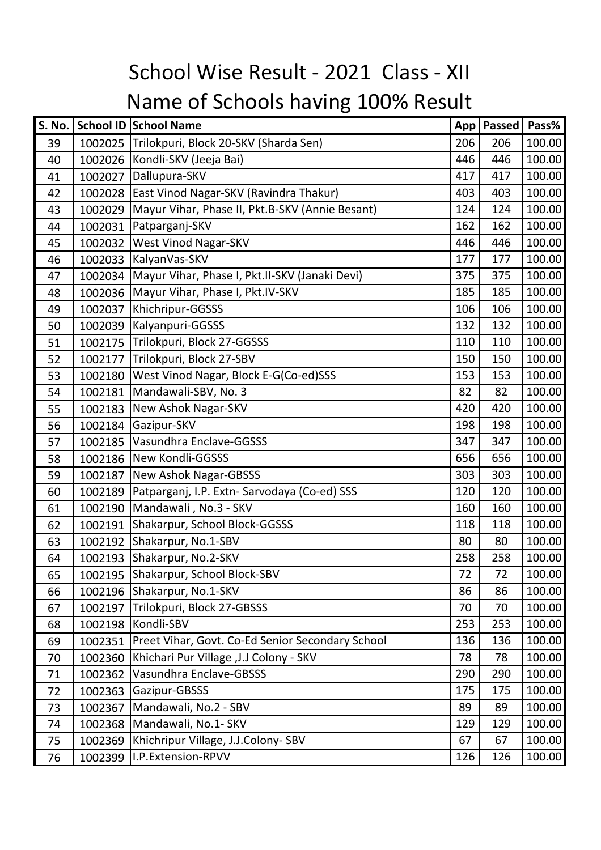| <b>S. No.</b> |         | School ID School Name                            | App | Passed | Pass%  |
|---------------|---------|--------------------------------------------------|-----|--------|--------|
| 39            | 1002025 | Trilokpuri, Block 20-SKV (Sharda Sen)            | 206 | 206    | 100.00 |
| 40            | 1002026 | Kondli-SKV (Jeeja Bai)                           | 446 | 446    | 100.00 |
| 41            | 1002027 | Dallupura-SKV                                    | 417 | 417    | 100.00 |
| 42            | 1002028 | East Vinod Nagar-SKV (Ravindra Thakur)           | 403 | 403    | 100.00 |
| 43            | 1002029 | Mayur Vihar, Phase II, Pkt.B-SKV (Annie Besant)  | 124 | 124    | 100.00 |
| 44            | 1002031 | Patparganj-SKV                                   | 162 | 162    | 100.00 |
| 45            | 1002032 | <b>West Vinod Nagar-SKV</b>                      | 446 | 446    | 100.00 |
| 46            | 1002033 | KalyanVas-SKV                                    | 177 | 177    | 100.00 |
| 47            | 1002034 | Mayur Vihar, Phase I, Pkt.II-SKV (Janaki Devi)   | 375 | 375    | 100.00 |
| 48            | 1002036 | Mayur Vihar, Phase I, Pkt.IV-SKV                 | 185 | 185    | 100.00 |
| 49            | 1002037 | Khichripur-GGSSS                                 | 106 | 106    | 100.00 |
| 50            | 1002039 | Kalyanpuri-GGSSS                                 | 132 | 132    | 100.00 |
| 51            | 1002175 | Trilokpuri, Block 27-GGSSS                       | 110 | 110    | 100.00 |
| 52            | 1002177 | Trilokpuri, Block 27-SBV                         | 150 | 150    | 100.00 |
| 53            | 1002180 | West Vinod Nagar, Block E-G(Co-ed)SSS            | 153 | 153    | 100.00 |
| 54            | 1002181 | Mandawali-SBV, No. 3                             | 82  | 82     | 100.00 |
| 55            | 1002183 | New Ashok Nagar-SKV                              | 420 | 420    | 100.00 |
| 56            | 1002184 | Gazipur-SKV                                      | 198 | 198    | 100.00 |
| 57            | 1002185 | Vasundhra Enclave-GGSSS                          | 347 | 347    | 100.00 |
| 58            | 1002186 | New Kondli-GGSSS                                 | 656 | 656    | 100.00 |
| 59            | 1002187 | <b>New Ashok Nagar-GBSSS</b>                     | 303 | 303    | 100.00 |
| 60            | 1002189 | Patparganj, I.P. Extn- Sarvodaya (Co-ed) SSS     | 120 | 120    | 100.00 |
| 61            | 1002190 | Mandawali, No.3 - SKV                            | 160 | 160    | 100.00 |
| 62            | 1002191 | Shakarpur, School Block-GGSSS                    | 118 | 118    | 100.00 |
| 63            | 1002192 | Shakarpur, No.1-SBV                              | 80  | 80     | 100.00 |
| 64            | 1002193 | Shakarpur, No.2-SKV                              | 258 | 258    | 100.00 |
| 65            | 1002195 | Shakarpur, School Block-SBV                      | 72  | 72     | 100.00 |
| 66            | 1002196 | Shakarpur, No.1-SKV                              | 86  | 86     | 100.00 |
| 67            | 1002197 | Trilokpuri, Block 27-GBSSS                       | 70  | 70     | 100.00 |
| 68            | 1002198 | Kondli-SBV                                       | 253 | 253    | 100.00 |
| 69            | 1002351 | Preet Vihar, Govt. Co-Ed Senior Secondary School | 136 | 136    | 100.00 |
| 70            | 1002360 | Khichari Pur Village , J.J Colony - SKV          | 78  | 78     | 100.00 |
| 71            | 1002362 | Vasundhra Enclave-GBSSS                          | 290 | 290    | 100.00 |
| 72            | 1002363 | Gazipur-GBSSS                                    | 175 | 175    | 100.00 |
| 73            | 1002367 | Mandawali, No.2 - SBV                            | 89  | 89     | 100.00 |
| 74            | 1002368 | Mandawali, No.1- SKV                             | 129 | 129    | 100.00 |
| 75            | 1002369 | Khichripur Village, J.J.Colony-SBV               | 67  | 67     | 100.00 |
| 76            | 1002399 | I.P.Extension-RPVV                               | 126 | 126    | 100.00 |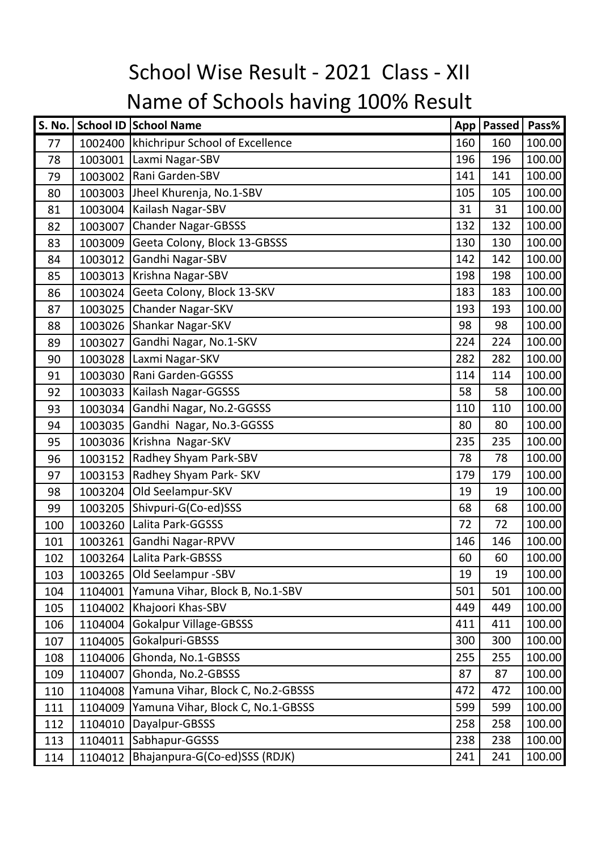| S. No. |         | School ID School Name                     | App | Passed | Pass%  |
|--------|---------|-------------------------------------------|-----|--------|--------|
| 77     |         | 1002400   khichripur School of Excellence | 160 | 160    | 100.00 |
| 78     | 1003001 | Laxmi Nagar-SBV                           | 196 | 196    | 100.00 |
| 79     | 1003002 | Rani Garden-SBV                           | 141 | 141    | 100.00 |
| 80     | 1003003 | Jheel Khurenja, No.1-SBV                  | 105 | 105    | 100.00 |
| 81     | 1003004 | Kailash Nagar-SBV                         | 31  | 31     | 100.00 |
| 82     | 1003007 | <b>Chander Nagar-GBSSS</b>                | 132 | 132    | 100.00 |
| 83     | 1003009 | Geeta Colony, Block 13-GBSSS              | 130 | 130    | 100.00 |
| 84     | 1003012 | Gandhi Nagar-SBV                          | 142 | 142    | 100.00 |
| 85     | 1003013 | Krishna Nagar-SBV                         | 198 | 198    | 100.00 |
| 86     | 1003024 | Geeta Colony, Block 13-SKV                | 183 | 183    | 100.00 |
| 87     | 1003025 | Chander Nagar-SKV                         | 193 | 193    | 100.00 |
| 88     | 1003026 | Shankar Nagar-SKV                         | 98  | 98     | 100.00 |
| 89     | 1003027 | Gandhi Nagar, No.1-SKV                    | 224 | 224    | 100.00 |
| 90     | 1003028 | Laxmi Nagar-SKV                           | 282 | 282    | 100.00 |
| 91     | 1003030 | Rani Garden-GGSSS                         | 114 | 114    | 100.00 |
| 92     | 1003033 | Kailash Nagar-GGSSS                       | 58  | 58     | 100.00 |
| 93     | 1003034 | Gandhi Nagar, No.2-GGSSS                  | 110 | 110    | 100.00 |
| 94     | 1003035 | Gandhi Nagar, No.3-GGSSS                  | 80  | 80     | 100.00 |
| 95     | 1003036 | Krishna Nagar-SKV                         | 235 | 235    | 100.00 |
| 96     | 1003152 | Radhey Shyam Park-SBV                     | 78  | 78     | 100.00 |
| 97     | 1003153 | Radhey Shyam Park- SKV                    | 179 | 179    | 100.00 |
| 98     | 1003204 | Old Seelampur-SKV                         | 19  | 19     | 100.00 |
| 99     | 1003205 | Shivpuri-G(Co-ed)SSS                      | 68  | 68     | 100.00 |
| 100    | 1003260 | Lalita Park-GGSSS                         | 72  | 72     | 100.00 |
| 101    | 1003261 | Gandhi Nagar-RPVV                         | 146 | 146    | 100.00 |
| 102    | 1003264 | Lalita Park-GBSSS                         | 60  | 60     | 100.00 |
| 103    | 1003265 | Old Seelampur -SBV                        | 19  | 19     | 100.00 |
| 104    | 1104001 | Yamuna Vihar, Block B, No.1-SBV           | 501 | 501    | 100.00 |
| 105    | 1104002 | Khajoori Khas-SBV                         | 449 | 449    | 100.00 |
| 106    | 1104004 | <b>Gokalpur Village-GBSSS</b>             | 411 | 411    | 100.00 |
| 107    | 1104005 | Gokalpuri-GBSSS                           | 300 | 300    | 100.00 |
| 108    | 1104006 | Ghonda, No.1-GBSSS                        | 255 | 255    | 100.00 |
| 109    | 1104007 | Ghonda, No.2-GBSSS                        | 87  | 87     | 100.00 |
| 110    | 1104008 | Yamuna Vihar, Block C, No.2-GBSSS         | 472 | 472    | 100.00 |
| 111    | 1104009 | Yamuna Vihar, Block C, No.1-GBSSS         | 599 | 599    | 100.00 |
| 112    | 1104010 | Dayalpur-GBSSS                            | 258 | 258    | 100.00 |
| 113    | 1104011 | Sabhapur-GGSSS                            | 238 | 238    | 100.00 |
| 114    | 1104012 | Bhajanpura-G(Co-ed)SSS (RDJK)             | 241 | 241    | 100.00 |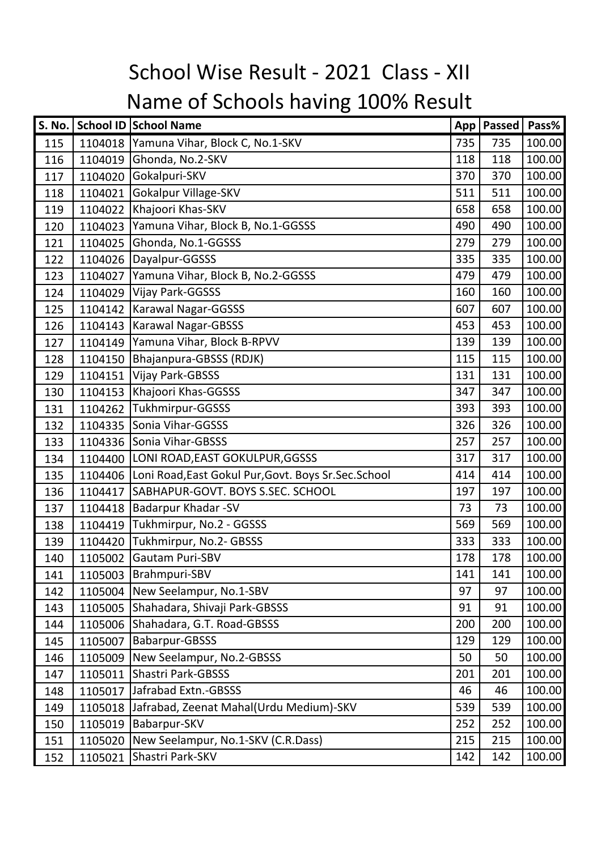| <b>S. No.</b> |         | School ID School Name                                 | App | Passed | Pass%  |
|---------------|---------|-------------------------------------------------------|-----|--------|--------|
| 115           | 1104018 | Yamuna Vihar, Block C, No.1-SKV                       | 735 | 735    | 100.00 |
| 116           | 1104019 | Ghonda, No.2-SKV                                      | 118 | 118    | 100.00 |
| 117           | 1104020 | Gokalpuri-SKV                                         | 370 | 370    | 100.00 |
| 118           | 1104021 | Gokalpur Village-SKV                                  | 511 | 511    | 100.00 |
| 119           | 1104022 | Khajoori Khas-SKV                                     | 658 | 658    | 100.00 |
| 120           | 1104023 | Yamuna Vihar, Block B, No.1-GGSSS                     | 490 | 490    | 100.00 |
| 121           | 1104025 | Ghonda, No.1-GGSSS                                    | 279 | 279    | 100.00 |
| 122           | 1104026 | Dayalpur-GGSSS                                        | 335 | 335    | 100.00 |
| 123           | 1104027 | Yamuna Vihar, Block B, No.2-GGSSS                     | 479 | 479    | 100.00 |
| 124           | 1104029 | Vijay Park-GGSSS                                      | 160 | 160    | 100.00 |
| 125           | 1104142 | <b>Karawal Nagar-GGSSS</b>                            | 607 | 607    | 100.00 |
| 126           | 1104143 | Karawal Nagar-GBSSS                                   | 453 | 453    | 100.00 |
| 127           |         | 1104149 Yamuna Vihar, Block B-RPVV                    | 139 | 139    | 100.00 |
| 128           | 1104150 | Bhajanpura-GBSSS (RDJK)                               | 115 | 115    | 100.00 |
| 129           | 1104151 | Vijay Park-GBSSS                                      | 131 | 131    | 100.00 |
| 130           | 1104153 | Khajoori Khas-GGSSS                                   | 347 | 347    | 100.00 |
| 131           | 1104262 | Tukhmirpur-GGSSS                                      | 393 | 393    | 100.00 |
| 132           | 1104335 | Sonia Vihar-GGSSS                                     | 326 | 326    | 100.00 |
| 133           | 1104336 | Sonia Vihar-GBSSS                                     | 257 | 257    | 100.00 |
| 134           | 1104400 | LONI ROAD, EAST GOKULPUR, GGSSS                       | 317 | 317    | 100.00 |
| 135           | 1104406 | Loni Road, East Gokul Pur, Govt. Boys Sr. Sec. School | 414 | 414    | 100.00 |
| 136           | 1104417 | SABHAPUR-GOVT. BOYS S.SEC. SCHOOL                     | 197 | 197    | 100.00 |
| 137           | 1104418 | Badarpur Khadar - SV                                  | 73  | 73     | 100.00 |
| 138           | 1104419 | Tukhmirpur, No.2 - GGSSS                              | 569 | 569    | 100.00 |
| 139           | 1104420 | Tukhmirpur, No.2- GBSSS                               | 333 | 333    | 100.00 |
| 140           | 1105002 | <b>Gautam Puri-SBV</b>                                | 178 | 178    | 100.00 |
| 141           | 1105003 | Brahmpuri-SBV                                         | 141 | 141    | 100.00 |
| 142           | 1105004 | New Seelampur, No.1-SBV                               | 97  | 97     | 100.00 |
| 143           | 1105005 | Shahadara, Shivaji Park-GBSSS                         | 91  | 91     | 100.00 |
| 144           | 1105006 | Shahadara, G.T. Road-GBSSS                            | 200 | 200    | 100.00 |
| 145           | 1105007 | <b>Babarpur-GBSSS</b>                                 | 129 | 129    | 100.00 |
| 146           | 1105009 | New Seelampur, No.2-GBSSS                             | 50  | 50     | 100.00 |
| 147           | 1105011 | <b>Shastri Park-GBSSS</b>                             | 201 | 201    | 100.00 |
| 148           | 1105017 | Jafrabad Extn.-GBSSS                                  | 46  | 46     | 100.00 |
| 149           | 1105018 | Jafrabad, Zeenat Mahal(Urdu Medium)-SKV               | 539 | 539    | 100.00 |
| 150           | 1105019 | Babarpur-SKV                                          | 252 | 252    | 100.00 |
| 151           | 1105020 | New Seelampur, No.1-SKV (C.R.Dass)                    | 215 | 215    | 100.00 |
| 152           | 1105021 | Shastri Park-SKV                                      | 142 | 142    | 100.00 |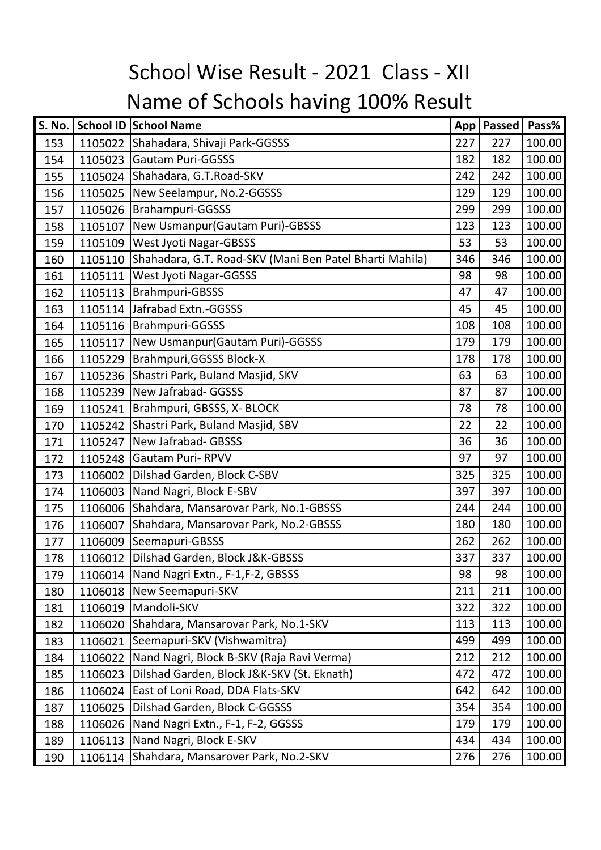| <b>S. No.</b> |         | School ID School Name                                   | App | Passed | Pass%  |
|---------------|---------|---------------------------------------------------------|-----|--------|--------|
| 153           |         | 1105022 Shahadara, Shivaji Park-GGSSS                   | 227 | 227    | 100.00 |
| 154           | 1105023 | <b>Gautam Puri-GGSSS</b>                                | 182 | 182    | 100.00 |
| 155           | 1105024 | Shahadara, G.T.Road-SKV                                 | 242 | 242    | 100.00 |
| 156           |         | 1105025 New Seelampur, No.2-GGSSS                       | 129 | 129    | 100.00 |
| 157           |         | 1105026   Brahampuri-GGSSS                              | 299 | 299    | 100.00 |
| 158           | 1105107 | New Usmanpur (Gautam Puri)-GBSSS                        | 123 | 123    | 100.00 |
| 159           | 1105109 | <b>West Jyoti Nagar-GBSSS</b>                           | 53  | 53     | 100.00 |
| 160           | 1105110 | Shahadara, G.T. Road-SKV (Mani Ben Patel Bharti Mahila) | 346 | 346    | 100.00 |
| 161           | 1105111 | <b>West Jyoti Nagar-GGSSS</b>                           | 98  | 98     | 100.00 |
| 162           | 1105113 | Brahmpuri-GBSSS                                         | 47  | 47     | 100.00 |
| 163           | 1105114 | Jafrabad Extn.-GGSSS                                    | 45  | 45     | 100.00 |
| 164           | 1105116 | Brahmpuri-GGSSS                                         | 108 | 108    | 100.00 |
| 165           | 1105117 | New Usmanpur (Gautam Puri)-GGSSS                        | 179 | 179    | 100.00 |
| 166           | 1105229 | Brahmpuri, GGSSS Block-X                                | 178 | 178    | 100.00 |
| 167           | 1105236 | Shastri Park, Buland Masjid, SKV                        | 63  | 63     | 100.00 |
| 168           | 1105239 | New Jafrabad- GGSSS                                     | 87  | 87     | 100.00 |
| 169           | 1105241 | Brahmpuri, GBSSS, X- BLOCK                              | 78  | 78     | 100.00 |
| 170           | 1105242 | Shastri Park, Buland Masjid, SBV                        | 22  | 22     | 100.00 |
| 171           | 1105247 | New Jafrabad- GBSSS                                     | 36  | 36     | 100.00 |
| 172           | 1105248 | <b>Gautam Puri-RPVV</b>                                 | 97  | 97     | 100.00 |
| 173           | 1106002 | Dilshad Garden, Block C-SBV                             | 325 | 325    | 100.00 |
| 174           | 1106003 | Nand Nagri, Block E-SBV                                 | 397 | 397    | 100.00 |
| 175           | 1106006 | Shahdara, Mansarovar Park, No.1-GBSSS                   | 244 | 244    | 100.00 |
| 176           | 1106007 | Shahdara, Mansarovar Park, No.2-GBSSS                   | 180 | 180    | 100.00 |
| 177           | 1106009 | Seemapuri-GBSSS                                         | 262 | 262    | 100.00 |
| 178           |         | 1106012   Dilshad Garden, Block J&K-GBSSS               | 337 | 337    | 100.00 |
| 179           |         | 1106014   Nand Nagri Extn., F-1, F-2, GBSSS             | 98  | 98     | 100.00 |
| 180           |         | 1106018 New Seemapuri-SKV                               | 211 | 211    | 100.00 |
| 181           | 1106019 | Mandoli-SKV                                             | 322 | 322    | 100.00 |
| 182           | 1106020 | Shahdara, Mansarovar Park, No.1-SKV                     | 113 | 113    | 100.00 |
| 183           | 1106021 | Seemapuri-SKV (Vishwamitra)                             | 499 | 499    | 100.00 |
| 184           | 1106022 | Nand Nagri, Block B-SKV (Raja Ravi Verma)               | 212 | 212    | 100.00 |
| 185           | 1106023 | Dilshad Garden, Block J&K-SKV (St. Eknath)              | 472 | 472    | 100.00 |
| 186           | 1106024 | East of Loni Road, DDA Flats-SKV                        | 642 | 642    | 100.00 |
| 187           | 1106025 | Dilshad Garden, Block C-GGSSS                           | 354 | 354    | 100.00 |
| 188           | 1106026 | Nand Nagri Extn., F-1, F-2, GGSSS                       | 179 | 179    | 100.00 |
| 189           | 1106113 | Nand Nagri, Block E-SKV                                 | 434 | 434    | 100.00 |
| 190           | 1106114 | Shahdara, Mansarover Park, No.2-SKV                     | 276 | 276    | 100.00 |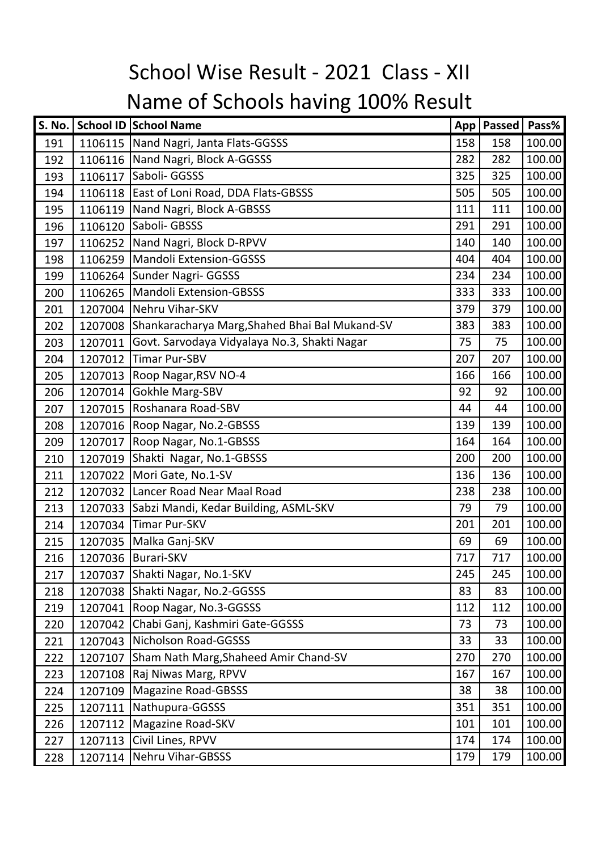| S. No. |         | School ID School Name                                  | App | Passed | Pass%  |
|--------|---------|--------------------------------------------------------|-----|--------|--------|
| 191    |         | 1106115 Nand Nagri, Janta Flats-GGSSS                  | 158 | 158    | 100.00 |
| 192    |         | 1106116 Nand Nagri, Block A-GGSSS                      | 282 | 282    | 100.00 |
| 193    | 1106117 | Saboli- GGSSS                                          | 325 | 325    | 100.00 |
| 194    |         | 1106118   East of Loni Road, DDA Flats-GBSSS           | 505 | 505    | 100.00 |
| 195    | 1106119 | Nand Nagri, Block A-GBSSS                              | 111 | 111    | 100.00 |
| 196    | 1106120 | Saboli- GBSSS                                          | 291 | 291    | 100.00 |
| 197    |         | 1106252 Nand Nagri, Block D-RPVV                       | 140 | 140    | 100.00 |
| 198    |         | 1106259   Mandoli Extension-GGSSS                      | 404 | 404    | 100.00 |
| 199    | 1106264 | Sunder Nagri- GGSSS                                    | 234 | 234    | 100.00 |
| 200    | 1106265 | Mandoli Extension-GBSSS                                | 333 | 333    | 100.00 |
| 201    | 1207004 | Nehru Vihar-SKV                                        | 379 | 379    | 100.00 |
| 202    |         | 1207008 Shankaracharya Marg, Shahed Bhai Bal Mukand-SV | 383 | 383    | 100.00 |
| 203    | 1207011 | Govt. Sarvodaya Vidyalaya No.3, Shakti Nagar           | 75  | 75     | 100.00 |
| 204    | 1207012 | <b>Timar Pur-SBV</b>                                   | 207 | 207    | 100.00 |
| 205    |         | 1207013 Roop Nagar, RSV NO-4                           | 166 | 166    | 100.00 |
| 206    |         | 1207014 Gokhle Marg-SBV                                | 92  | 92     | 100.00 |
| 207    | 1207015 | Roshanara Road-SBV                                     | 44  | 44     | 100.00 |
| 208    |         | 1207016 Roop Nagar, No.2-GBSSS                         | 139 | 139    | 100.00 |
| 209    | 1207017 | Roop Nagar, No.1-GBSSS                                 | 164 | 164    | 100.00 |
| 210    |         | 1207019 Shakti Nagar, No.1-GBSSS                       | 200 | 200    | 100.00 |
| 211    |         | 1207022 Mori Gate, No.1-SV                             | 136 | 136    | 100.00 |
| 212    | 1207032 | Lancer Road Near Maal Road                             | 238 | 238    | 100.00 |
| 213    |         | 1207033 Sabzi Mandi, Kedar Building, ASML-SKV          | 79  | 79     | 100.00 |
| 214    | 1207034 | Timar Pur-SKV                                          | 201 | 201    | 100.00 |
| 215    |         | 1207035 Malka Ganj-SKV                                 | 69  | 69     | 100.00 |
| 216    |         | 1207036 Burari-SKV                                     | 717 | 717    | 100.00 |
| 217    |         | 1207037 Shakti Nagar, No.1-SKV                         | 245 | 245    | 100.00 |
| 218    |         | 1207038 Shakti Nagar, No.2-GGSSS                       | 83  | 83     | 100.00 |
| 219    | 1207041 | Roop Nagar, No.3-GGSSS                                 | 112 | 112    | 100.00 |
| 220    | 1207042 | Chabi Ganj, Kashmiri Gate-GGSSS                        | 73  | 73     | 100.00 |
| 221    | 1207043 | Nicholson Road-GGSSS                                   | 33  | 33     | 100.00 |
| 222    | 1207107 | Sham Nath Marg, Shaheed Amir Chand-SV                  | 270 | 270    | 100.00 |
| 223    |         | 1207108 Raj Niwas Marg, RPVV                           | 167 | 167    | 100.00 |
| 224    | 1207109 | <b>Magazine Road-GBSSS</b>                             | 38  | 38     | 100.00 |
| 225    | 1207111 | Nathupura-GGSSS                                        | 351 | 351    | 100.00 |
| 226    | 1207112 | Magazine Road-SKV                                      | 101 | 101    | 100.00 |
| 227    | 1207113 | Civil Lines, RPVV                                      | 174 | 174    | 100.00 |
| 228    |         | 1207114 Nehru Vihar-GBSSS                              | 179 | 179    | 100.00 |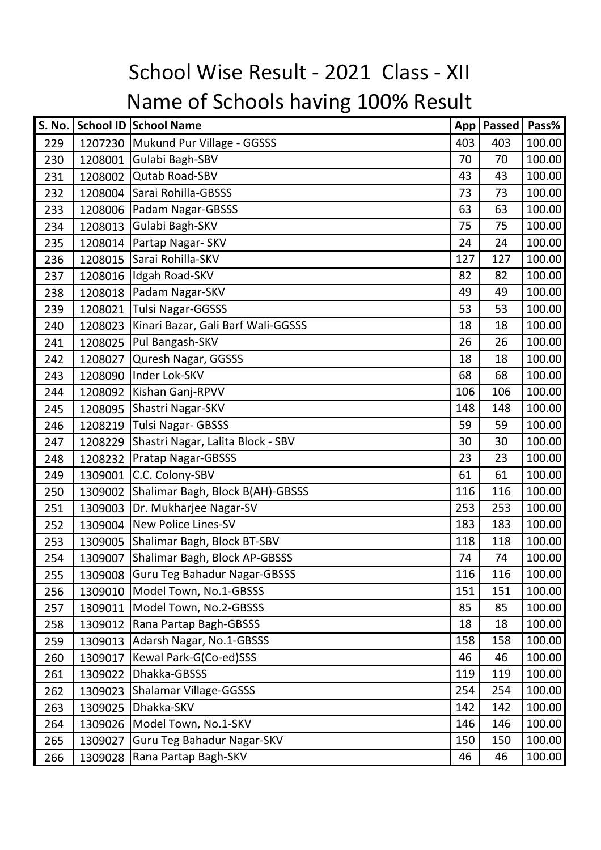| S. No. |         | School ID School Name              | App | <b>Passed</b> | Pass%  |
|--------|---------|------------------------------------|-----|---------------|--------|
| 229    |         | 1207230 Mukund Pur Village - GGSSS | 403 | 403           | 100.00 |
| 230    | 1208001 | Gulabi Bagh-SBV                    | 70  | 70            | 100.00 |
| 231    | 1208002 | <b>Qutab Road-SBV</b>              | 43  | 43            | 100.00 |
| 232    | 1208004 | Sarai Rohilla-GBSSS                | 73  | 73            | 100.00 |
| 233    | 1208006 | Padam Nagar-GBSSS                  | 63  | 63            | 100.00 |
| 234    | 1208013 | Gulabi Bagh-SKV                    | 75  | 75            | 100.00 |
| 235    | 1208014 | Partap Nagar-SKV                   | 24  | 24            | 100.00 |
| 236    | 1208015 | Sarai Rohilla-SKV                  | 127 | 127           | 100.00 |
| 237    | 1208016 | Idgah Road-SKV                     | 82  | 82            | 100.00 |
| 238    | 1208018 | Padam Nagar-SKV                    | 49  | 49            | 100.00 |
| 239    | 1208021 | <b>Tulsi Nagar-GGSSS</b>           | 53  | 53            | 100.00 |
| 240    | 1208023 | Kinari Bazar, Gali Barf Wali-GGSSS | 18  | 18            | 100.00 |
| 241    | 1208025 | Pul Bangash-SKV                    | 26  | 26            | 100.00 |
| 242    | 1208027 | Quresh Nagar, GGSSS                | 18  | 18            | 100.00 |
| 243    | 1208090 | Inder Lok-SKV                      | 68  | 68            | 100.00 |
| 244    | 1208092 | Kishan Ganj-RPVV                   | 106 | 106           | 100.00 |
| 245    | 1208095 | Shastri Nagar-SKV                  | 148 | 148           | 100.00 |
| 246    | 1208219 | <b>Tulsi Nagar- GBSSS</b>          | 59  | 59            | 100.00 |
| 247    | 1208229 | Shastri Nagar, Lalita Block - SBV  | 30  | 30            | 100.00 |
| 248    | 1208232 | <b>Pratap Nagar-GBSSS</b>          | 23  | 23            | 100.00 |
| 249    | 1309001 | C.C. Colony-SBV                    | 61  | 61            | 100.00 |
| 250    | 1309002 | Shalimar Bagh, Block B(AH)-GBSSS   | 116 | 116           | 100.00 |
| 251    | 1309003 | Dr. Mukharjee Nagar-SV             | 253 | 253           | 100.00 |
| 252    | 1309004 | New Police Lines-SV                | 183 | 183           | 100.00 |
| 253    | 1309005 | Shalimar Bagh, Block BT-SBV        | 118 | 118           | 100.00 |
| 254    | 1309007 | Shalimar Bagh, Block AP-GBSSS      | 74  | 74            | 100.00 |
| 255    | 1309008 | Guru Teg Bahadur Nagar-GBSSS       | 116 | 116           | 100.00 |
| 256    | 1309010 | Model Town, No.1-GBSSS             | 151 | 151           | 100.00 |
| 257    | 1309011 | Model Town, No.2-GBSSS             | 85  | 85            | 100.00 |
| 258    | 1309012 | Rana Partap Bagh-GBSSS             | 18  | 18            | 100.00 |
| 259    | 1309013 | Adarsh Nagar, No.1-GBSSS           | 158 | 158           | 100.00 |
| 260    | 1309017 | Kewal Park-G(Co-ed)SSS             | 46  | 46            | 100.00 |
| 261    | 1309022 | Dhakka-GBSSS                       | 119 | 119           | 100.00 |
| 262    | 1309023 | <b>Shalamar Village-GGSSS</b>      | 254 | 254           | 100.00 |
| 263    | 1309025 | Dhakka-SKV                         | 142 | 142           | 100.00 |
| 264    | 1309026 | Model Town, No.1-SKV               | 146 | 146           | 100.00 |
| 265    | 1309027 | Guru Teg Bahadur Nagar-SKV         | 150 | 150           | 100.00 |
| 266    | 1309028 | Rana Partap Bagh-SKV               | 46  | 46            | 100.00 |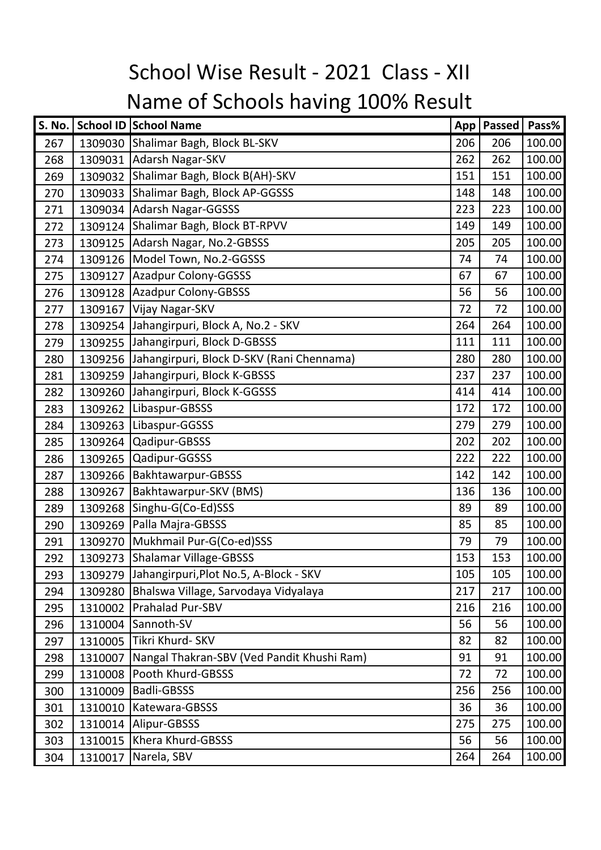| S. No. |         | School ID School Name                      | App | <b>Passed</b> | Pass%  |
|--------|---------|--------------------------------------------|-----|---------------|--------|
| 267    |         | 1309030 Shalimar Bagh, Block BL-SKV        | 206 | 206           | 100.00 |
| 268    | 1309031 | Adarsh Nagar-SKV                           | 262 | 262           | 100.00 |
| 269    | 1309032 | Shalimar Bagh, Block B(AH)-SKV             | 151 | 151           | 100.00 |
| 270    | 1309033 | Shalimar Bagh, Block AP-GGSSS              | 148 | 148           | 100.00 |
| 271    |         | 1309034 Adarsh Nagar-GGSSS                 | 223 | 223           | 100.00 |
| 272    | 1309124 | Shalimar Bagh, Block BT-RPVV               | 149 | 149           | 100.00 |
| 273    | 1309125 | Adarsh Nagar, No.2-GBSSS                   | 205 | 205           | 100.00 |
| 274    | 1309126 | Model Town, No.2-GGSSS                     | 74  | 74            | 100.00 |
| 275    | 1309127 | Azadpur Colony-GGSSS                       | 67  | 67            | 100.00 |
| 276    | 1309128 | Azadpur Colony-GBSSS                       | 56  | 56            | 100.00 |
| 277    | 1309167 | Vijay Nagar-SKV                            | 72  | 72            | 100.00 |
| 278    |         | 1309254 Jahangirpuri, Block A, No.2 - SKV  | 264 | 264           | 100.00 |
| 279    | 1309255 | Jahangirpuri, Block D-GBSSS                | 111 | 111           | 100.00 |
| 280    | 1309256 | Jahangirpuri, Block D-SKV (Rani Chennama)  | 280 | 280           | 100.00 |
| 281    | 1309259 | Jahangirpuri, Block K-GBSSS                | 237 | 237           | 100.00 |
| 282    | 1309260 | Jahangirpuri, Block K-GGSSS                | 414 | 414           | 100.00 |
| 283    | 1309262 | Libaspur-GBSSS                             | 172 | 172           | 100.00 |
| 284    | 1309263 | Libaspur-GGSSS                             | 279 | 279           | 100.00 |
| 285    | 1309264 | Qadipur-GBSSS                              | 202 | 202           | 100.00 |
| 286    | 1309265 | Qadipur-GGSSS                              | 222 | 222           | 100.00 |
| 287    | 1309266 | <b>Bakhtawarpur-GBSSS</b>                  | 142 | 142           | 100.00 |
| 288    | 1309267 | Bakhtawarpur-SKV (BMS)                     | 136 | 136           | 100.00 |
| 289    | 1309268 | Singhu-G(Co-Ed)SSS                         | 89  | 89            | 100.00 |
| 290    | 1309269 | Palla Majra-GBSSS                          | 85  | 85            | 100.00 |
| 291    | 1309270 | Mukhmail Pur-G(Co-ed)SSS                   | 79  | 79            | 100.00 |
| 292    | 1309273 | Shalamar Village-GBSSS                     | 153 | 153           | 100.00 |
| 293    | 1309279 | Jahangirpuri, Plot No.5, A-Block - SKV     | 105 | 105           | 100.00 |
| 294    | 1309280 | Bhalswa Village, Sarvodaya Vidyalaya       | 217 | 217           | 100.00 |
| 295    | 1310002 | Prahalad Pur-SBV                           | 216 | 216           | 100.00 |
| 296    | 1310004 | Sannoth-SV                                 | 56  | 56            | 100.00 |
| 297    | 1310005 | Tikri Khurd- SKV                           | 82  | 82            | 100.00 |
| 298    | 1310007 | Nangal Thakran-SBV (Ved Pandit Khushi Ram) | 91  | 91            | 100.00 |
| 299    | 1310008 | Pooth Khurd-GBSSS                          | 72  | 72            | 100.00 |
| 300    | 1310009 | <b>Badli-GBSSS</b>                         | 256 | 256           | 100.00 |
| 301    | 1310010 | Katewara-GBSSS                             | 36  | 36            | 100.00 |
| 302    | 1310014 | Alipur-GBSSS                               | 275 | 275           | 100.00 |
| 303    | 1310015 | Khera Khurd-GBSSS                          | 56  | 56            | 100.00 |
| 304    | 1310017 | Narela, SBV                                | 264 | 264           | 100.00 |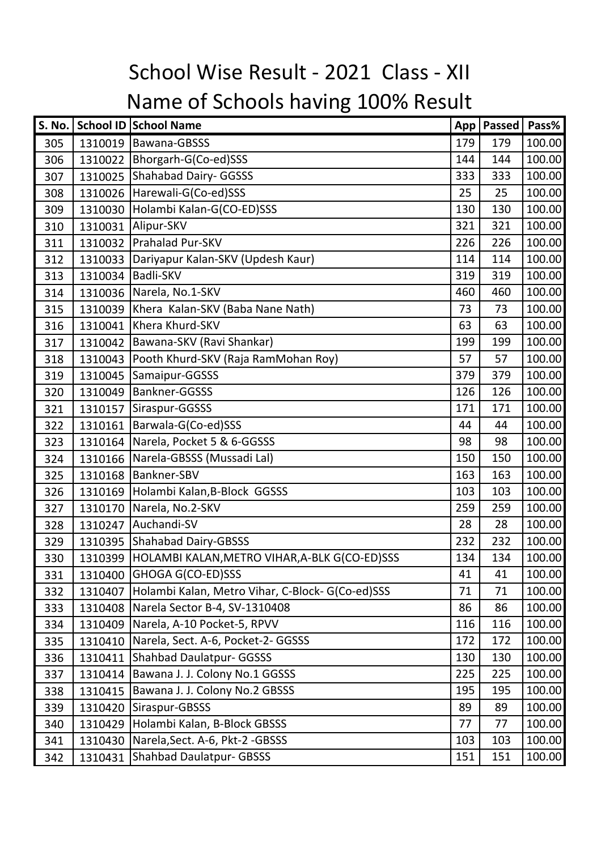| <b>S. No.</b> |         | School ID School Name                            | App | Passed | Pass%  |
|---------------|---------|--------------------------------------------------|-----|--------|--------|
| 305           |         | 1310019 Bawana-GBSSS                             | 179 | 179    | 100.00 |
| 306           | 1310022 | Bhorgarh-G(Co-ed)SSS                             | 144 | 144    | 100.00 |
| 307           | 1310025 | Shahabad Dairy- GGSSS                            | 333 | 333    | 100.00 |
| 308           |         | 1310026   Harewali-G(Co-ed) SSS                  | 25  | 25     | 100.00 |
| 309           | 1310030 | Holambi Kalan-G(CO-ED)SSS                        | 130 | 130    | 100.00 |
| 310           | 1310031 | Alipur-SKV                                       | 321 | 321    | 100.00 |
| 311           | 1310032 | Prahalad Pur-SKV                                 | 226 | 226    | 100.00 |
| 312           | 1310033 | Dariyapur Kalan-SKV (Updesh Kaur)                | 114 | 114    | 100.00 |
| 313           | 1310034 | Badli-SKV                                        | 319 | 319    | 100.00 |
| 314           |         | 1310036   Narela, No.1-SKV                       | 460 | 460    | 100.00 |
| 315           | 1310039 | Khera Kalan-SKV (Baba Nane Nath)                 | 73  | 73     | 100.00 |
| 316           | 1310041 | Khera Khurd-SKV                                  | 63  | 63     | 100.00 |
| 317           | 1310042 | Bawana-SKV (Ravi Shankar)                        | 199 | 199    | 100.00 |
| 318           | 1310043 | Pooth Khurd-SKV (Raja RamMohan Roy)              | 57  | 57     | 100.00 |
| 319           | 1310045 | Samaipur-GGSSS                                   | 379 | 379    | 100.00 |
| 320           | 1310049 | <b>Bankner-GGSSS</b>                             | 126 | 126    | 100.00 |
| 321           | 1310157 | Siraspur-GGSSS                                   | 171 | 171    | 100.00 |
| 322           | 1310161 | Barwala-G(Co-ed)SSS                              | 44  | 44     | 100.00 |
| 323           | 1310164 | Narela, Pocket 5 & 6-GGSSS                       | 98  | 98     | 100.00 |
| 324           | 1310166 | Narela-GBSSS (Mussadi Lal)                       | 150 | 150    | 100.00 |
| 325           | 1310168 | Bankner-SBV                                      | 163 | 163    | 100.00 |
| 326           | 1310169 | Holambi Kalan, B-Block GGSSS                     | 103 | 103    | 100.00 |
| 327           | 1310170 | Narela, No.2-SKV                                 | 259 | 259    | 100.00 |
| 328           | 1310247 | Auchandi-SV                                      | 28  | 28     | 100.00 |
| 329           | 1310395 | <b>Shahabad Dairy-GBSSS</b>                      | 232 | 232    | 100.00 |
| 330           | 1310399 | HOLAMBI KALAN,METRO VIHAR,A-BLK G(CO-ED)SSS      | 134 | 134    | 100.00 |
| 331           | 1310400 | <b>GHOGA G(CO-ED)SSS</b>                         | 41  | 41     | 100.00 |
| 332           | 1310407 | Holambi Kalan, Metro Vihar, C-Block- G(Co-ed)SSS | 71  | 71     | 100.00 |
| 333           | 1310408 | Narela Sector B-4, SV-1310408                    | 86  | 86     | 100.00 |
| 334           | 1310409 | Narela, A-10 Pocket-5, RPVV                      | 116 | 116    | 100.00 |
| 335           | 1310410 | Narela, Sect. A-6, Pocket-2- GGSSS               | 172 | 172    | 100.00 |
| 336           | 1310411 | <b>Shahbad Daulatpur- GGSSS</b>                  | 130 | 130    | 100.00 |
| 337           | 1310414 | Bawana J. J. Colony No.1 GGSSS                   | 225 | 225    | 100.00 |
| 338           | 1310415 | Bawana J. J. Colony No.2 GBSSS                   | 195 | 195    | 100.00 |
| 339           | 1310420 | Siraspur-GBSSS                                   | 89  | 89     | 100.00 |
| 340           | 1310429 | Holambi Kalan, B-Block GBSSS                     | 77  | 77     | 100.00 |
| 341           | 1310430 | Narela, Sect. A-6, Pkt-2 - GBSSS                 | 103 | 103    | 100.00 |
| 342           | 1310431 | <b>Shahbad Daulatpur- GBSSS</b>                  | 151 | 151    | 100.00 |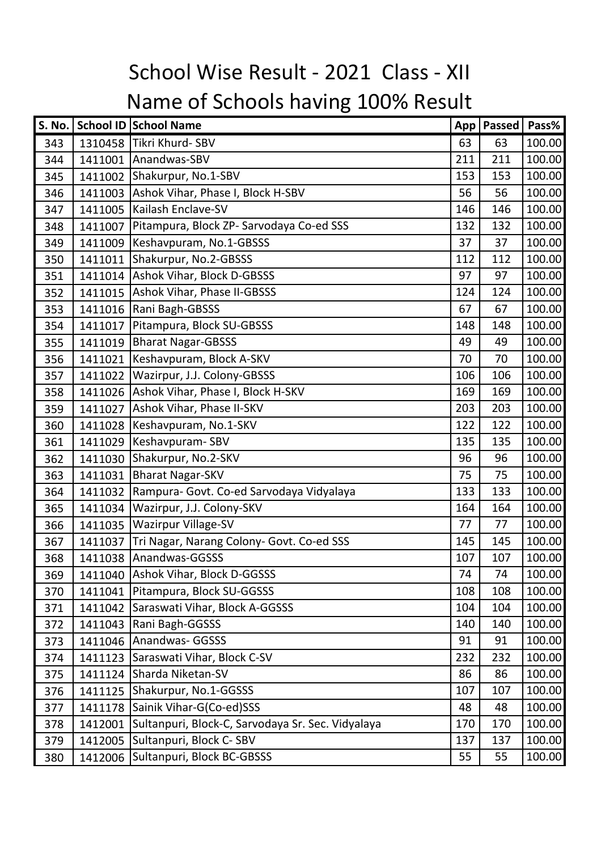| S. No. |         | School ID School Name                             | App | <b>Passed</b> | Pass%  |
|--------|---------|---------------------------------------------------|-----|---------------|--------|
| 343    | 1310458 | Tikri Khurd-SBV                                   | 63  | 63            | 100.00 |
| 344    | 1411001 | Anandwas-SBV                                      | 211 | 211           | 100.00 |
| 345    | 1411002 | Shakurpur, No.1-SBV                               | 153 | 153           | 100.00 |
| 346    | 1411003 | Ashok Vihar, Phase I, Block H-SBV                 | 56  | 56            | 100.00 |
| 347    | 1411005 | Kailash Enclave-SV                                | 146 | 146           | 100.00 |
| 348    | 1411007 | Pitampura, Block ZP- Sarvodaya Co-ed SSS          | 132 | 132           | 100.00 |
| 349    | 1411009 | Keshavpuram, No.1-GBSSS                           | 37  | 37            | 100.00 |
| 350    | 1411011 | Shakurpur, No.2-GBSSS                             | 112 | 112           | 100.00 |
| 351    | 1411014 | Ashok Vihar, Block D-GBSSS                        | 97  | 97            | 100.00 |
| 352    | 1411015 | Ashok Vihar, Phase II-GBSSS                       | 124 | 124           | 100.00 |
| 353    | 1411016 | Rani Bagh-GBSSS                                   | 67  | 67            | 100.00 |
| 354    | 1411017 | Pitampura, Block SU-GBSSS                         | 148 | 148           | 100.00 |
| 355    | 1411019 | <b>Bharat Nagar-GBSSS</b>                         | 49  | 49            | 100.00 |
| 356    | 1411021 | Keshavpuram, Block A-SKV                          | 70  | 70            | 100.00 |
| 357    | 1411022 | Wazirpur, J.J. Colony-GBSSS                       | 106 | 106           | 100.00 |
| 358    | 1411026 | Ashok Vihar, Phase I, Block H-SKV                 | 169 | 169           | 100.00 |
| 359    | 1411027 | Ashok Vihar, Phase II-SKV                         | 203 | 203           | 100.00 |
| 360    | 1411028 | Keshavpuram, No.1-SKV                             | 122 | 122           | 100.00 |
| 361    | 1411029 | Keshavpuram-SBV                                   | 135 | 135           | 100.00 |
| 362    | 1411030 | Shakurpur, No.2-SKV                               | 96  | 96            | 100.00 |
| 363    | 1411031 | <b>Bharat Nagar-SKV</b>                           | 75  | 75            | 100.00 |
| 364    | 1411032 | Rampura- Govt. Co-ed Sarvodaya Vidyalaya          | 133 | 133           | 100.00 |
| 365    | 1411034 | Wazirpur, J.J. Colony-SKV                         | 164 | 164           | 100.00 |
| 366    | 1411035 | <b>Wazirpur Village-SV</b>                        | 77  | 77            | 100.00 |
| 367    | 1411037 | Tri Nagar, Narang Colony- Govt. Co-ed SSS         | 145 | 145           | 100.00 |
| 368    | 1411038 | Anandwas-GGSSS                                    | 107 | 107           | 100.00 |
| 369    | 1411040 | Ashok Vihar, Block D-GGSSS                        | 74  | 74            | 100.00 |
| 370    | 1411041 | Pitampura, Block SU-GGSSS                         | 108 | 108           | 100.00 |
| 371    | 1411042 | Saraswati Vihar, Block A-GGSSS                    | 104 | 104           | 100.00 |
| 372    | 1411043 | Rani Bagh-GGSSS                                   | 140 | 140           | 100.00 |
| 373    | 1411046 | Anandwas- GGSSS                                   | 91  | 91            | 100.00 |
| 374    | 1411123 | Saraswati Vihar, Block C-SV                       | 232 | 232           | 100.00 |
| 375    | 1411124 | Sharda Niketan-SV                                 | 86  | 86            | 100.00 |
| 376    | 1411125 | Shakurpur, No.1-GGSSS                             | 107 | 107           | 100.00 |
| 377    | 1411178 | Sainik Vihar-G(Co-ed)SSS                          | 48  | 48            | 100.00 |
| 378    | 1412001 | Sultanpuri, Block-C, Sarvodaya Sr. Sec. Vidyalaya | 170 | 170           | 100.00 |
| 379    | 1412005 | Sultanpuri, Block C-SBV                           | 137 | 137           | 100.00 |
| 380    | 1412006 | Sultanpuri, Block BC-GBSSS                        | 55  | 55            | 100.00 |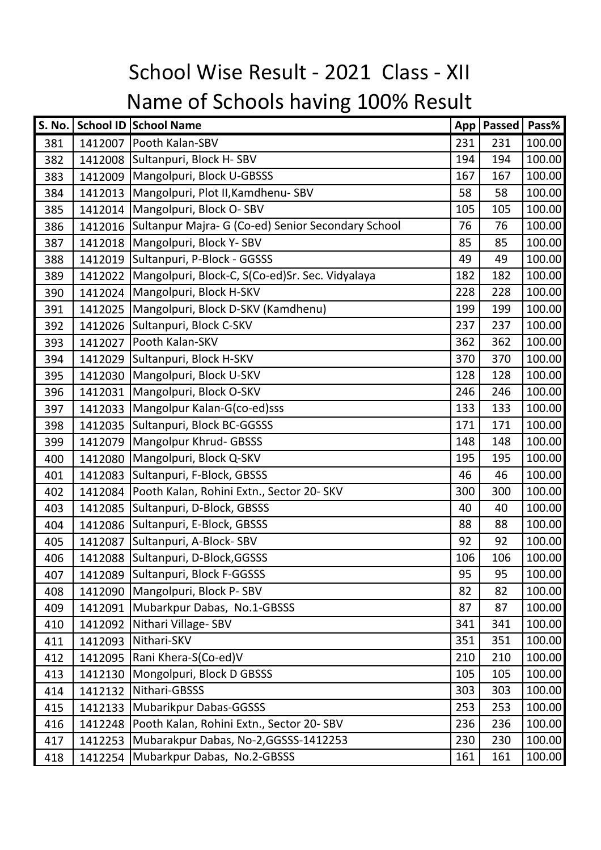| S. No. |         | School ID School Name                              | App | <b>Passed</b> | Pass%  |
|--------|---------|----------------------------------------------------|-----|---------------|--------|
| 381    | 1412007 | Pooth Kalan-SBV                                    | 231 | 231           | 100.00 |
| 382    | 1412008 | Sultanpuri, Block H-SBV                            | 194 | 194           | 100.00 |
| 383    | 1412009 | Mangolpuri, Block U-GBSSS                          | 167 | 167           | 100.00 |
| 384    | 1412013 | Mangolpuri, Plot II, Kamdhenu-SBV                  | 58  | 58            | 100.00 |
| 385    | 1412014 | Mangolpuri, Block O-SBV                            | 105 | 105           | 100.00 |
| 386    | 1412016 | Sultanpur Majra- G (Co-ed) Senior Secondary School | 76  | 76            | 100.00 |
| 387    | 1412018 | Mangolpuri, Block Y-SBV                            | 85  | 85            | 100.00 |
| 388    | 1412019 | Sultanpuri, P-Block - GGSSS                        | 49  | 49            | 100.00 |
| 389    | 1412022 | Mangolpuri, Block-C, S(Co-ed)Sr. Sec. Vidyalaya    | 182 | 182           | 100.00 |
| 390    | 1412024 | Mangolpuri, Block H-SKV                            | 228 | 228           | 100.00 |
| 391    | 1412025 | Mangolpuri, Block D-SKV (Kamdhenu)                 | 199 | 199           | 100.00 |
| 392    | 1412026 | Sultanpuri, Block C-SKV                            | 237 | 237           | 100.00 |
| 393    | 1412027 | Pooth Kalan-SKV                                    | 362 | 362           | 100.00 |
| 394    | 1412029 | Sultanpuri, Block H-SKV                            | 370 | 370           | 100.00 |
| 395    | 1412030 | Mangolpuri, Block U-SKV                            | 128 | 128           | 100.00 |
| 396    | 1412031 | Mangolpuri, Block O-SKV                            | 246 | 246           | 100.00 |
| 397    | 1412033 | Mangolpur Kalan-G(co-ed)sss                        | 133 | 133           | 100.00 |
| 398    | 1412035 | Sultanpuri, Block BC-GGSSS                         | 171 | 171           | 100.00 |
| 399    | 1412079 | Mangolpur Khrud- GBSSS                             | 148 | 148           | 100.00 |
| 400    | 1412080 | Mangolpuri, Block Q-SKV                            | 195 | 195           | 100.00 |
| 401    | 1412083 | Sultanpuri, F-Block, GBSSS                         | 46  | 46            | 100.00 |
| 402    | 1412084 | Pooth Kalan, Rohini Extn., Sector 20- SKV          | 300 | 300           | 100.00 |
| 403    | 1412085 | Sultanpuri, D-Block, GBSSS                         | 40  | 40            | 100.00 |
| 404    | 1412086 | Sultanpuri, E-Block, GBSSS                         | 88  | 88            | 100.00 |
| 405    | 1412087 | Sultanpuri, A-Block-SBV                            | 92  | 92            | 100.00 |
| 406    | 1412088 | Sultanpuri, D-Block, GGSSS                         | 106 | 106           | 100.00 |
| 407    | 1412089 | Sultanpuri, Block F-GGSSS                          | 95  | 95            | 100.00 |
| 408    | 1412090 | Mangolpuri, Block P-SBV                            | 82  | 82            | 100.00 |
| 409    | 1412091 | Mubarkpur Dabas, No.1-GBSSS                        | 87  | 87            | 100.00 |
| 410    | 1412092 | Nithari Village-SBV                                | 341 | 341           | 100.00 |
| 411    | 1412093 | Nithari-SKV                                        | 351 | 351           | 100.00 |
| 412    | 1412095 | Rani Khera-S(Co-ed)V                               | 210 | 210           | 100.00 |
| 413    | 1412130 | Mongolpuri, Block D GBSSS                          | 105 | 105           | 100.00 |
| 414    | 1412132 | Nithari-GBSSS                                      | 303 | 303           | 100.00 |
| 415    | 1412133 | Mubarikpur Dabas-GGSSS                             | 253 | 253           | 100.00 |
| 416    | 1412248 | Pooth Kalan, Rohini Extn., Sector 20- SBV          | 236 | 236           | 100.00 |
| 417    | 1412253 | Mubarakpur Dabas, No-2, GGSSS-1412253              | 230 | 230           | 100.00 |
| 418    | 1412254 | Mubarkpur Dabas, No.2-GBSSS                        | 161 | 161           | 100.00 |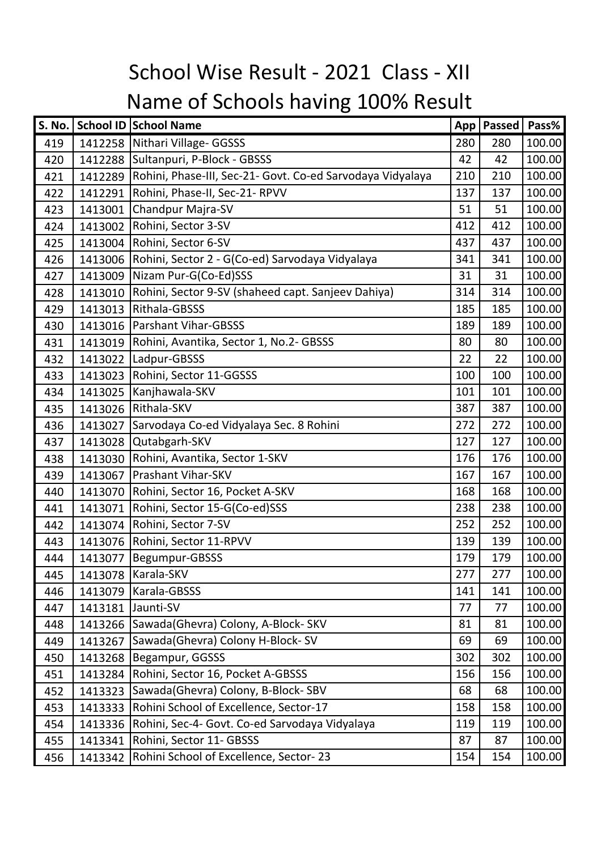| S. No. |         | School ID School Name                                      | App | <b>Passed</b> | Pass%  |
|--------|---------|------------------------------------------------------------|-----|---------------|--------|
| 419    |         | 1412258 Nithari Village- GGSSS                             | 280 | 280           | 100.00 |
| 420    |         | 1412288 Sultanpuri, P-Block - GBSSS                        | 42  | 42            | 100.00 |
| 421    | 1412289 | Rohini, Phase-III, Sec-21- Govt. Co-ed Sarvodaya Vidyalaya | 210 | 210           | 100.00 |
| 422    | 1412291 | Rohini, Phase-II, Sec-21- RPVV                             | 137 | 137           | 100.00 |
| 423    | 1413001 | Chandpur Majra-SV                                          | 51  | 51            | 100.00 |
| 424    |         | 1413002 Rohini, Sector 3-SV                                | 412 | 412           | 100.00 |
| 425    |         | 1413004 Rohini, Sector 6-SV                                | 437 | 437           | 100.00 |
| 426    |         | 1413006 Rohini, Sector 2 - G(Co-ed) Sarvodaya Vidyalaya    | 341 | 341           | 100.00 |
| 427    | 1413009 | Nizam Pur-G(Co-Ed)SSS                                      | 31  | 31            | 100.00 |
| 428    | 1413010 | Rohini, Sector 9-SV (shaheed capt. Sanjeev Dahiya)         | 314 | 314           | 100.00 |
| 429    | 1413013 | Rithala-GBSSS                                              | 185 | 185           | 100.00 |
| 430    |         | 1413016   Parshant Vihar-GBSSS                             | 189 | 189           | 100.00 |
| 431    | 1413019 | Rohini, Avantika, Sector 1, No.2- GBSSS                    | 80  | 80            | 100.00 |
| 432    | 1413022 | Ladpur-GBSSS                                               | 22  | 22            | 100.00 |
| 433    | 1413023 | Rohini, Sector 11-GGSSS                                    | 100 | 100           | 100.00 |
| 434    | 1413025 | Kanjhawala-SKV                                             | 101 | 101           | 100.00 |
| 435    | 1413026 | Rithala-SKV                                                | 387 | 387           | 100.00 |
| 436    | 1413027 | Sarvodaya Co-ed Vidyalaya Sec. 8 Rohini                    | 272 | 272           | 100.00 |
| 437    | 1413028 | Qutabgarh-SKV                                              | 127 | 127           | 100.00 |
| 438    | 1413030 | Rohini, Avantika, Sector 1-SKV                             | 176 | 176           | 100.00 |
| 439    | 1413067 | <b>Prashant Vihar-SKV</b>                                  | 167 | 167           | 100.00 |
| 440    | 1413070 | Rohini, Sector 16, Pocket A-SKV                            | 168 | 168           | 100.00 |
| 441    | 1413071 | Rohini, Sector 15-G(Co-ed)SSS                              | 238 | 238           | 100.00 |
| 442    |         | 1413074 Rohini, Sector 7-SV                                | 252 | 252           | 100.00 |
| 443    | 1413076 | Rohini, Sector 11-RPVV                                     | 139 | 139           | 100.00 |
| 444    | 1413077 | Begumpur-GBSSS                                             | 179 | 179           | 100.00 |
| 445    |         | 1413078   Karala-SKV                                       | 277 | 277           | 100.00 |
| 446    | 1413079 | Karala-GBSSS                                               | 141 | 141           | 100.00 |
| 447    | 1413181 | Jaunti-SV                                                  | 77  | 77            | 100.00 |
| 448    |         | 1413266   Sawada (Ghevra) Colony, A-Block-SKV              | 81  | 81            | 100.00 |
| 449    | 1413267 | Sawada(Ghevra) Colony H-Block-SV                           | 69  | 69            | 100.00 |
| 450    | 1413268 | Begampur, GGSSS                                            | 302 | 302           | 100.00 |
| 451    |         | 1413284 Rohini, Sector 16, Pocket A-GBSSS                  | 156 | 156           | 100.00 |
| 452    | 1413323 | Sawada(Ghevra) Colony, B-Block-SBV                         | 68  | 68            | 100.00 |
| 453    | 1413333 | Rohini School of Excellence, Sector-17                     | 158 | 158           | 100.00 |
| 454    | 1413336 | Rohini, Sec-4- Govt. Co-ed Sarvodaya Vidyalaya             | 119 | 119           | 100.00 |
| 455    | 1413341 | Rohini, Sector 11- GBSSS                                   | 87  | 87            | 100.00 |
| 456    |         | 1413342 Rohini School of Excellence, Sector-23             | 154 | 154           | 100.00 |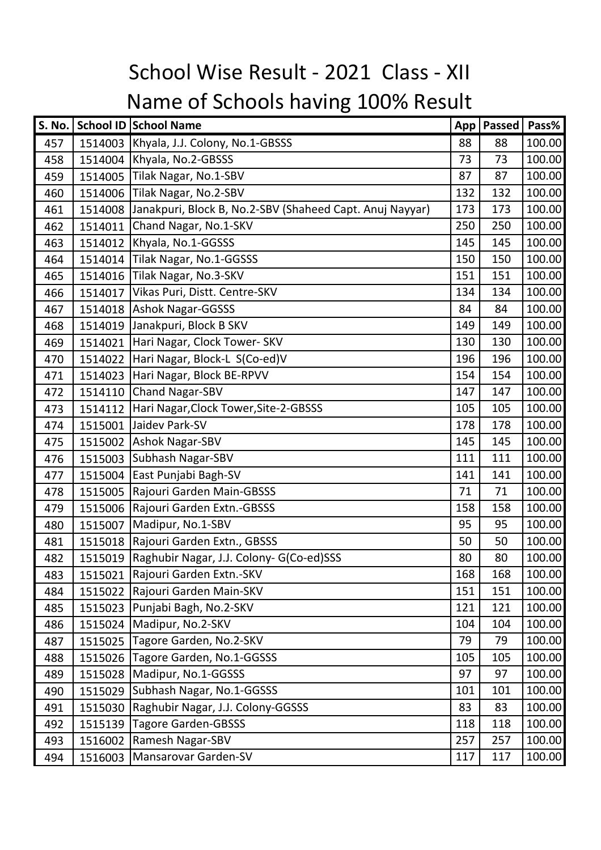| <b>S. No.</b> |         | School ID School Name                                    | App | Passed | Pass%  |
|---------------|---------|----------------------------------------------------------|-----|--------|--------|
| 457           |         | 1514003   Khyala, J.J. Colony, No.1-GBSSS                | 88  | 88     | 100.00 |
| 458           |         | 1514004 Khyala, No.2-GBSSS                               | 73  | 73     | 100.00 |
| 459           | 1514005 | Tilak Nagar, No.1-SBV                                    | 87  | 87     | 100.00 |
| 460           | 1514006 | Tilak Nagar, No.2-SBV                                    | 132 | 132    | 100.00 |
| 461           | 1514008 | Janakpuri, Block B, No.2-SBV (Shaheed Capt. Anuj Nayyar) | 173 | 173    | 100.00 |
| 462           | 1514011 | Chand Nagar, No.1-SKV                                    | 250 | 250    | 100.00 |
| 463           | 1514012 | Khyala, No.1-GGSSS                                       | 145 | 145    | 100.00 |
| 464           |         | 1514014 Tilak Nagar, No.1-GGSSS                          | 150 | 150    | 100.00 |
| 465           | 1514016 | Tilak Nagar, No.3-SKV                                    | 151 | 151    | 100.00 |
| 466           | 1514017 | Vikas Puri, Distt. Centre-SKV                            | 134 | 134    | 100.00 |
| 467           | 1514018 | <b>Ashok Nagar-GGSSS</b>                                 | 84  | 84     | 100.00 |
| 468           | 1514019 | Janakpuri, Block B SKV                                   | 149 | 149    | 100.00 |
| 469           |         | 1514021 Hari Nagar, Clock Tower-SKV                      | 130 | 130    | 100.00 |
| 470           | 1514022 | Hari Nagar, Block-L S(Co-ed)V                            | 196 | 196    | 100.00 |
| 471           | 1514023 | Hari Nagar, Block BE-RPVV                                | 154 | 154    | 100.00 |
| 472           | 1514110 | Chand Nagar-SBV                                          | 147 | 147    | 100.00 |
| 473           | 1514112 | Hari Nagar, Clock Tower, Site-2-GBSSS                    | 105 | 105    | 100.00 |
| 474           | 1515001 | Jaidev Park-SV                                           | 178 | 178    | 100.00 |
| 475           | 1515002 | <b>Ashok Nagar-SBV</b>                                   | 145 | 145    | 100.00 |
| 476           | 1515003 | Subhash Nagar-SBV                                        | 111 | 111    | 100.00 |
| 477           |         | 1515004 East Punjabi Bagh-SV                             | 141 | 141    | 100.00 |
| 478           | 1515005 | Rajouri Garden Main-GBSSS                                | 71  | 71     | 100.00 |
| 479           | 1515006 | Rajouri Garden Extn.-GBSSS                               | 158 | 158    | 100.00 |
| 480           | 1515007 | Madipur, No.1-SBV                                        | 95  | 95     | 100.00 |
| 481           | 1515018 | Rajouri Garden Extn., GBSSS                              | 50  | 50     | 100.00 |
| 482           | 1515019 | Raghubir Nagar, J.J. Colony- G(Co-ed)SSS                 | 80  | 80     | 100.00 |
| 483           |         | 1515021   Rajouri Garden Extn.-SKV                       | 168 | 168    | 100.00 |
| 484           |         | 1515022 Rajouri Garden Main-SKV                          | 151 | 151    | 100.00 |
| 485           | 1515023 | Punjabi Bagh, No.2-SKV                                   | 121 | 121    | 100.00 |
| 486           |         | 1515024 Madipur, No.2-SKV                                | 104 | 104    | 100.00 |
| 487           | 1515025 | Tagore Garden, No.2-SKV                                  | 79  | 79     | 100.00 |
| 488           | 1515026 | Tagore Garden, No.1-GGSSS                                | 105 | 105    | 100.00 |
| 489           | 1515028 | Madipur, No.1-GGSSS                                      | 97  | 97     | 100.00 |
| 490           | 1515029 | Subhash Nagar, No.1-GGSSS                                | 101 | 101    | 100.00 |
| 491           | 1515030 | Raghubir Nagar, J.J. Colony-GGSSS                        | 83  | 83     | 100.00 |
| 492           | 1515139 | <b>Tagore Garden-GBSSS</b>                               | 118 | 118    | 100.00 |
| 493           | 1516002 | Ramesh Nagar-SBV                                         | 257 | 257    | 100.00 |
| 494           | 1516003 | Mansarovar Garden-SV                                     | 117 | 117    | 100.00 |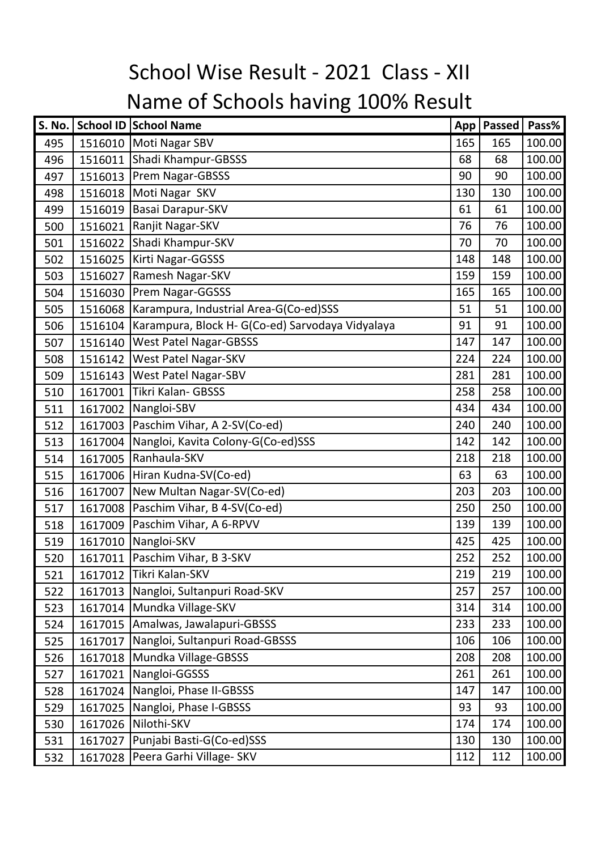| S. No. |         | School ID School Name                            | App | <b>Passed</b> | Pass%  |
|--------|---------|--------------------------------------------------|-----|---------------|--------|
| 495    |         | 1516010 Moti Nagar SBV                           | 165 | 165           | 100.00 |
| 496    | 1516011 | Shadi Khampur-GBSSS                              | 68  | 68            | 100.00 |
| 497    | 1516013 | Prem Nagar-GBSSS                                 | 90  | 90            | 100.00 |
| 498    | 1516018 | Moti Nagar SKV                                   | 130 | 130           | 100.00 |
| 499    | 1516019 | Basai Darapur-SKV                                | 61  | 61            | 100.00 |
| 500    | 1516021 | Ranjit Nagar-SKV                                 | 76  | 76            | 100.00 |
| 501    | 1516022 | Shadi Khampur-SKV                                | 70  | 70            | 100.00 |
| 502    | 1516025 | Kirti Nagar-GGSSS                                | 148 | 148           | 100.00 |
| 503    | 1516027 | Ramesh Nagar-SKV                                 | 159 | 159           | 100.00 |
| 504    | 1516030 | Prem Nagar-GGSSS                                 | 165 | 165           | 100.00 |
| 505    | 1516068 | Karampura, Industrial Area-G(Co-ed)SSS           | 51  | 51            | 100.00 |
| 506    | 1516104 | Karampura, Block H- G(Co-ed) Sarvodaya Vidyalaya | 91  | 91            | 100.00 |
| 507    | 1516140 | <b>West Patel Nagar-GBSSS</b>                    | 147 | 147           | 100.00 |
| 508    | 1516142 | West Patel Nagar-SKV                             | 224 | 224           | 100.00 |
| 509    | 1516143 | <b>West Patel Nagar-SBV</b>                      | 281 | 281           | 100.00 |
| 510    | 1617001 | Tikri Kalan- GBSSS                               | 258 | 258           | 100.00 |
| 511    | 1617002 | Nangloi-SBV                                      | 434 | 434           | 100.00 |
| 512    | 1617003 | Paschim Vihar, A 2-SV(Co-ed)                     | 240 | 240           | 100.00 |
| 513    | 1617004 | Nangloi, Kavita Colony-G(Co-ed)SSS               | 142 | 142           | 100.00 |
| 514    | 1617005 | Ranhaula-SKV                                     | 218 | 218           | 100.00 |
| 515    | 1617006 | Hiran Kudna-SV(Co-ed)                            | 63  | 63            | 100.00 |
| 516    | 1617007 | New Multan Nagar-SV(Co-ed)                       | 203 | 203           | 100.00 |
| 517    | 1617008 | Paschim Vihar, B 4-SV(Co-ed)                     | 250 | 250           | 100.00 |
| 518    | 1617009 | Paschim Vihar, A 6-RPVV                          | 139 | 139           | 100.00 |
| 519    | 1617010 | Nangloi-SKV                                      | 425 | 425           | 100.00 |
| 520    | 1617011 | Paschim Vihar, B 3-SKV                           | 252 | 252           | 100.00 |
| 521    | 1617012 | Tikri Kalan-SKV                                  | 219 | 219           | 100.00 |
| 522    |         | 1617013 Nangloi, Sultanpuri Road-SKV             | 257 | 257           | 100.00 |
| 523    |         | 1617014   Mundka Village-SKV                     | 314 | 314           | 100.00 |
| 524    | 1617015 | Amalwas, Jawalapuri-GBSSS                        | 233 | 233           | 100.00 |
| 525    | 1617017 | Nangloi, Sultanpuri Road-GBSSS                   | 106 | 106           | 100.00 |
| 526    |         | 1617018   Mundka Village-GBSSS                   | 208 | 208           | 100.00 |
| 527    | 1617021 | Nangloi-GGSSS                                    | 261 | 261           | 100.00 |
| 528    | 1617024 | Nangloi, Phase II-GBSSS                          | 147 | 147           | 100.00 |
| 529    | 1617025 | Nangloi, Phase I-GBSSS                           | 93  | 93            | 100.00 |
| 530    | 1617026 | Nilothi-SKV                                      | 174 | 174           | 100.00 |
| 531    | 1617027 | Punjabi Basti-G(Co-ed)SSS                        | 130 | 130           | 100.00 |
| 532    |         | 1617028   Peera Garhi Village- SKV               | 112 | 112           | 100.00 |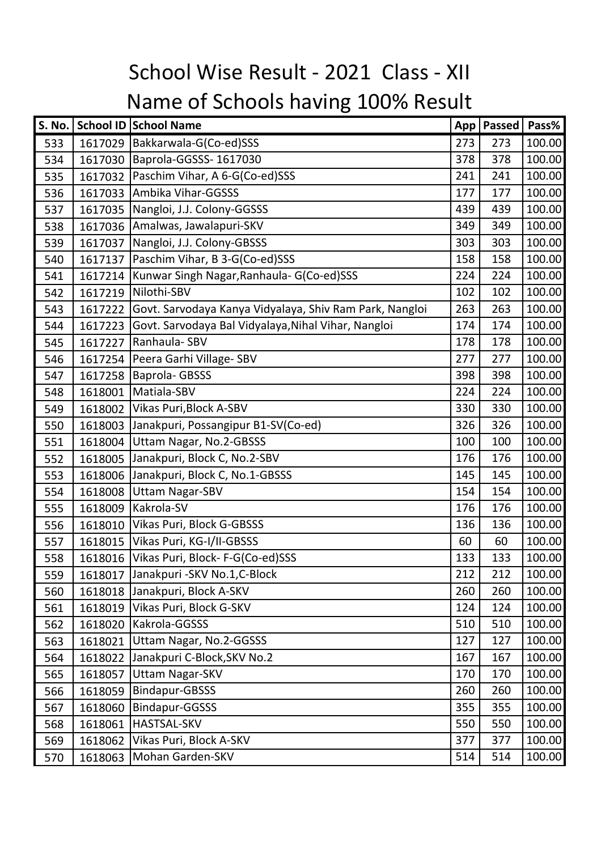| S. No. |         | School ID School Name                                   | App | <b>Passed</b> | Pass%  |
|--------|---------|---------------------------------------------------------|-----|---------------|--------|
| 533    | 1617029 | Bakkarwala-G(Co-ed)SSS                                  | 273 | 273           | 100.00 |
| 534    | 1617030 | Baprola-GGSSS- 1617030                                  | 378 | 378           | 100.00 |
| 535    | 1617032 | Paschim Vihar, A 6-G(Co-ed)SSS                          | 241 | 241           | 100.00 |
| 536    | 1617033 | Ambika Vihar-GGSSS                                      | 177 | 177           | 100.00 |
| 537    | 1617035 | Nangloi, J.J. Colony-GGSSS                              | 439 | 439           | 100.00 |
| 538    | 1617036 | Amalwas, Jawalapuri-SKV                                 | 349 | 349           | 100.00 |
| 539    | 1617037 | Nangloi, J.J. Colony-GBSSS                              | 303 | 303           | 100.00 |
| 540    | 1617137 | Paschim Vihar, B 3-G(Co-ed)SSS                          | 158 | 158           | 100.00 |
| 541    | 1617214 | Kunwar Singh Nagar, Ranhaula- G(Co-ed)SSS               | 224 | 224           | 100.00 |
| 542    | 1617219 | Nilothi-SBV                                             | 102 | 102           | 100.00 |
| 543    | 1617222 | Govt. Sarvodaya Kanya Vidyalaya, Shiv Ram Park, Nangloi | 263 | 263           | 100.00 |
| 544    | 1617223 | Govt. Sarvodaya Bal Vidyalaya, Nihal Vihar, Nangloi     | 174 | 174           | 100.00 |
| 545    | 1617227 | Ranhaula-SBV                                            | 178 | 178           | 100.00 |
| 546    | 1617254 | Peera Garhi Village- SBV                                | 277 | 277           | 100.00 |
| 547    | 1617258 | Baprola-GBSSS                                           | 398 | 398           | 100.00 |
| 548    | 1618001 | Matiala-SBV                                             | 224 | 224           | 100.00 |
| 549    | 1618002 | Vikas Puri, Block A-SBV                                 | 330 | 330           | 100.00 |
| 550    | 1618003 | Janakpuri, Possangipur B1-SV(Co-ed)                     | 326 | 326           | 100.00 |
| 551    | 1618004 | Uttam Nagar, No.2-GBSSS                                 | 100 | 100           | 100.00 |
| 552    | 1618005 | Janakpuri, Block C, No.2-SBV                            | 176 | 176           | 100.00 |
| 553    | 1618006 | Janakpuri, Block C, No.1-GBSSS                          | 145 | 145           | 100.00 |
| 554    | 1618008 | <b>Uttam Nagar-SBV</b>                                  | 154 | 154           | 100.00 |
| 555    | 1618009 | Kakrola-SV                                              | 176 | 176           | 100.00 |
| 556    | 1618010 | Vikas Puri, Block G-GBSSS                               | 136 | 136           | 100.00 |
| 557    | 1618015 | Vikas Puri, KG-I/II-GBSSS                               | 60  | 60            | 100.00 |
| 558    | 1618016 | Vikas Puri, Block-F-G(Co-ed)SSS                         | 133 | 133           | 100.00 |
| 559    | 1618017 | Janakpuri - SKV No.1, C-Block                           | 212 | 212           | 100.00 |
| 560    | 1618018 | Janakpuri, Block A-SKV                                  | 260 | 260           | 100.00 |
| 561    | 1618019 | Vikas Puri, Block G-SKV                                 | 124 | 124           | 100.00 |
| 562    | 1618020 | Kakrola-GGSSS                                           | 510 | 510           | 100.00 |
| 563    | 1618021 | Uttam Nagar, No.2-GGSSS                                 | 127 | 127           | 100.00 |
| 564    | 1618022 | Janakpuri C-Block, SKV No.2                             | 167 | 167           | 100.00 |
| 565    | 1618057 | <b>Uttam Nagar-SKV</b>                                  | 170 | 170           | 100.00 |
| 566    | 1618059 | <b>Bindapur-GBSSS</b>                                   | 260 | 260           | 100.00 |
| 567    | 1618060 | Bindapur-GGSSS                                          | 355 | 355           | 100.00 |
| 568    | 1618061 | <b>HASTSAL-SKV</b>                                      | 550 | 550           | 100.00 |
| 569    | 1618062 | Vikas Puri, Block A-SKV                                 | 377 | 377           | 100.00 |
| 570    | 1618063 | Mohan Garden-SKV                                        | 514 | 514           | 100.00 |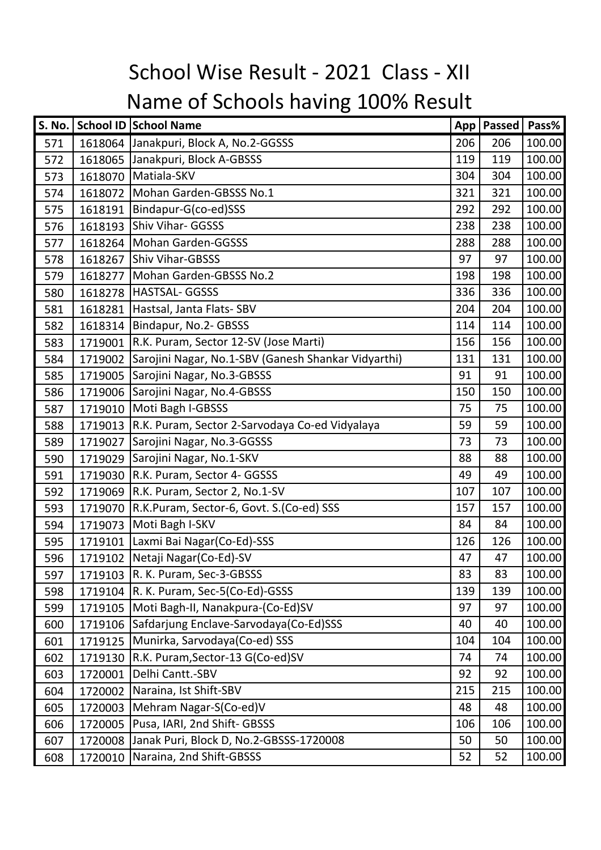| <b>S. No.</b> |         | School ID School Name                               | App | <b>Passed</b> | Pass%  |
|---------------|---------|-----------------------------------------------------|-----|---------------|--------|
| 571           |         | 1618064 Janakpuri, Block A, No.2-GGSSS              | 206 | 206           | 100.00 |
| 572           |         | 1618065 Janakpuri, Block A-GBSSS                    | 119 | 119           | 100.00 |
| 573           | 1618070 | Matiala-SKV                                         | 304 | 304           | 100.00 |
| 574           |         | 1618072 Mohan Garden-GBSSS No.1                     | 321 | 321           | 100.00 |
| 575           | 1618191 | Bindapur-G(co-ed)SSS                                | 292 | 292           | 100.00 |
| 576           | 1618193 | <b>Shiv Vihar- GGSSS</b>                            | 238 | 238           | 100.00 |
| 577           |         | 1618264   Mohan Garden-GGSSS                        | 288 | 288           | 100.00 |
| 578           | 1618267 | <b>Shiv Vihar-GBSSS</b>                             | 97  | 97            | 100.00 |
| 579           | 1618277 | Mohan Garden-GBSSS No.2                             | 198 | 198           | 100.00 |
| 580           | 1618278 | <b>HASTSAL-GGSSS</b>                                | 336 | 336           | 100.00 |
| 581           | 1618281 | Hastsal, Janta Flats-SBV                            | 204 | 204           | 100.00 |
| 582           |         | 1618314   Bindapur, No.2- GBSSS                     | 114 | 114           | 100.00 |
| 583           | 1719001 | R.K. Puram, Sector 12-SV (Jose Marti)               | 156 | 156           | 100.00 |
| 584           | 1719002 | Sarojini Nagar, No.1-SBV (Ganesh Shankar Vidyarthi) | 131 | 131           | 100.00 |
| 585           | 1719005 | Sarojini Nagar, No.3-GBSSS                          | 91  | 91            | 100.00 |
| 586           | 1719006 | Sarojini Nagar, No.4-GBSSS                          | 150 | 150           | 100.00 |
| 587           | 1719010 | Moti Bagh I-GBSSS                                   | 75  | 75            | 100.00 |
| 588           | 1719013 | R.K. Puram, Sector 2-Sarvodaya Co-ed Vidyalaya      | 59  | 59            | 100.00 |
| 589           | 1719027 | Sarojini Nagar, No.3-GGSSS                          | 73  | 73            | 100.00 |
| 590           | 1719029 | Sarojini Nagar, No.1-SKV                            | 88  | 88            | 100.00 |
| 591           |         | 1719030   R.K. Puram, Sector 4- GGSSS               | 49  | 49            | 100.00 |
| 592           | 1719069 | R.K. Puram, Sector 2, No.1-SV                       | 107 | 107           | 100.00 |
| 593           |         | 1719070   R.K.Puram, Sector-6, Govt. S. (Co-ed) SSS | 157 | 157           | 100.00 |
| 594           |         | 1719073 Moti Bagh I-SKV                             | 84  | 84            | 100.00 |
| 595           | 1719101 | Laxmi Bai Nagar(Co-Ed)-SSS                          | 126 | 126           | 100.00 |
| 596           |         | 1719102   Netaji Nagar (Co-Ed)-SV                   | 47  | 47            | 100.00 |
| 597           |         | 1719103 R. K. Puram, Sec-3-GBSSS                    | 83  | 83            | 100.00 |
| 598           |         | 1719104   R. K. Puram, Sec-5(Co-Ed)-GSSS            | 139 | 139           | 100.00 |
| 599           | 1719105 | Moti Bagh-II, Nanakpura-(Co-Ed)SV                   | 97  | 97            | 100.00 |
| 600           | 1719106 | Safdarjung Enclave-Sarvodaya(Co-Ed)SSS              | 40  | 40            | 100.00 |
| 601           | 1719125 | Munirka, Sarvodaya(Co-ed) SSS                       | 104 | 104           | 100.00 |
| 602           | 1719130 | R.K. Puram, Sector-13 G(Co-ed)SV                    | 74  | 74            | 100.00 |
| 603           | 1720001 | Delhi Cantt.-SBV                                    | 92  | 92            | 100.00 |
| 604           | 1720002 | Naraina, Ist Shift-SBV                              | 215 | 215           | 100.00 |
| 605           | 1720003 | Mehram Nagar-S(Co-ed)V                              | 48  | 48            | 100.00 |
| 606           | 1720005 | Pusa, IARI, 2nd Shift- GBSSS                        | 106 | 106           | 100.00 |
| 607           | 1720008 | Janak Puri, Block D, No.2-GBSSS-1720008             | 50  | 50            | 100.00 |
| 608           | 1720010 | Naraina, 2nd Shift-GBSSS                            | 52  | 52            | 100.00 |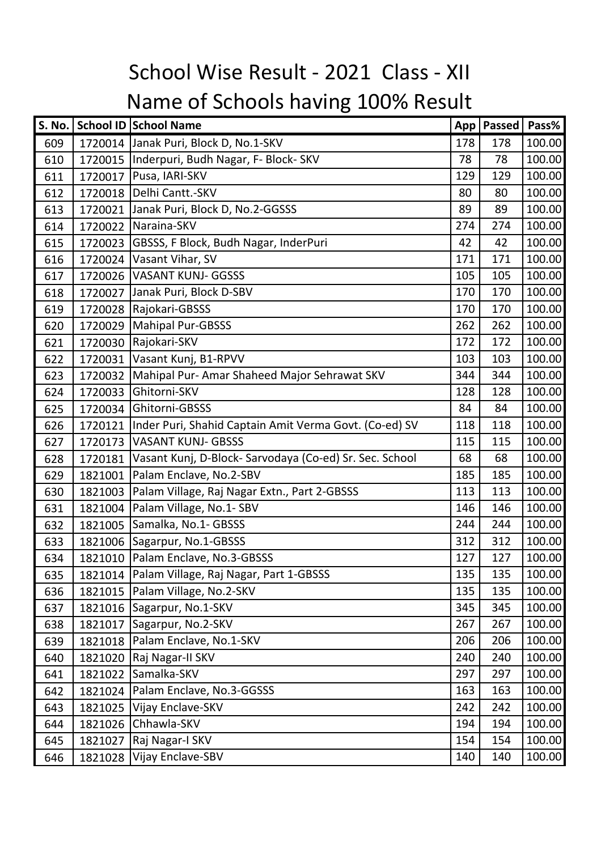| S. No. |         | School ID School Name                                   |     | App   Passed | Pass%  |
|--------|---------|---------------------------------------------------------|-----|--------------|--------|
| 609    |         | 1720014 Janak Puri, Block D, No.1-SKV                   | 178 | 178          | 100.00 |
| 610    |         | 1720015   Inderpuri, Budh Nagar, F- Block-SKV           | 78  | 78           | 100.00 |
| 611    | 1720017 | Pusa, IARI-SKV                                          | 129 | 129          | 100.00 |
| 612    | 1720018 | Delhi Cantt.-SKV                                        | 80  | 80           | 100.00 |
| 613    | 1720021 | Janak Puri, Block D, No.2-GGSSS                         | 89  | 89           | 100.00 |
| 614    | 1720022 | Naraina-SKV                                             | 274 | 274          | 100.00 |
| 615    | 1720023 | GBSSS, F Block, Budh Nagar, InderPuri                   | 42  | 42           | 100.00 |
| 616    |         | 1720024 Vasant Vihar, SV                                | 171 | 171          | 100.00 |
| 617    | 1720026 | <b>VASANT KUNJ- GGSSS</b>                               | 105 | 105          | 100.00 |
| 618    | 1720027 | Janak Puri, Block D-SBV                                 | 170 | 170          | 100.00 |
| 619    | 1720028 | Rajokari-GBSSS                                          | 170 | 170          | 100.00 |
| 620    | 1720029 | Mahipal Pur-GBSSS                                       | 262 | 262          | 100.00 |
| 621    |         | 1720030 Rajokari-SKV                                    | 172 | 172          | 100.00 |
| 622    | 1720031 | Vasant Kunj, B1-RPVV                                    | 103 | 103          | 100.00 |
| 623    | 1720032 | Mahipal Pur- Amar Shaheed Major Sehrawat SKV            | 344 | 344          | 100.00 |
| 624    | 1720033 | Ghitorni-SKV                                            | 128 | 128          | 100.00 |
| 625    | 1720034 | Ghitorni-GBSSS                                          | 84  | 84           | 100.00 |
| 626    | 1720121 | Inder Puri, Shahid Captain Amit Verma Govt. (Co-ed) SV  | 118 | 118          | 100.00 |
| 627    | 1720173 | <b>VASANT KUNJ- GBSSS</b>                               | 115 | 115          | 100.00 |
| 628    | 1720181 | Vasant Kunj, D-Block- Sarvodaya (Co-ed) Sr. Sec. School | 68  | 68           | 100.00 |
| 629    | 1821001 | Palam Enclave, No.2-SBV                                 | 185 | 185          | 100.00 |
| 630    | 1821003 | Palam Village, Raj Nagar Extn., Part 2-GBSSS            | 113 | 113          | 100.00 |
| 631    |         | 1821004   Palam Village, No.1- SBV                      | 146 | 146          | 100.00 |
| 632    | 1821005 | Samalka, No.1- GBSSS                                    | 244 | 244          | 100.00 |
| 633    | 1821006 | Sagarpur, No.1-GBSSS                                    | 312 | 312          | 100.00 |
| 634    | 1821010 | Palam Enclave, No.3-GBSSS                               | 127 | 127          | 100.00 |
| 635    |         | 1821014   Palam Village, Raj Nagar, Part 1-GBSSS        | 135 | 135          | 100.00 |
| 636    |         | 1821015   Palam Village, No.2-SKV                       | 135 | 135          | 100.00 |
| 637    |         | 1821016   Sagarpur, No.1-SKV                            | 345 | 345          | 100.00 |
| 638    | 1821017 | Sagarpur, No.2-SKV                                      | 267 | 267          | 100.00 |
| 639    |         | 1821018   Palam Enclave, No.1-SKV                       | 206 | 206          | 100.00 |
| 640    | 1821020 | Raj Nagar-II SKV                                        | 240 | 240          | 100.00 |
| 641    | 1821022 | Samalka-SKV                                             | 297 | 297          | 100.00 |
| 642    | 1821024 | Palam Enclave, No.3-GGSSS                               | 163 | 163          | 100.00 |
| 643    | 1821025 | Vijay Enclave-SKV                                       | 242 | 242          | 100.00 |
| 644    | 1821026 | Chhawla-SKV                                             | 194 | 194          | 100.00 |
| 645    | 1821027 | Raj Nagar-I SKV                                         | 154 | 154          | 100.00 |
| 646    | 1821028 | Vijay Enclave-SBV                                       | 140 | 140          | 100.00 |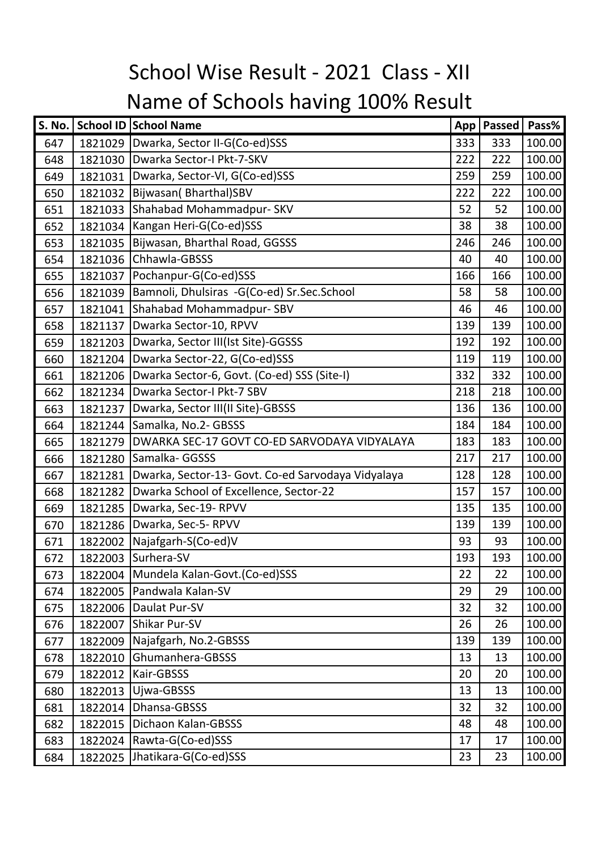| <b>S. No.</b> |         | School ID School Name                                | App | <b>Passed</b> | Pass%  |
|---------------|---------|------------------------------------------------------|-----|---------------|--------|
| 647           |         | 1821029   Dwarka, Sector II-G(Co-ed)SSS              | 333 | 333           | 100.00 |
| 648           |         | 1821030   Dwarka Sector-I Pkt-7-SKV                  | 222 | 222           | 100.00 |
| 649           | 1821031 | Dwarka, Sector-VI, G(Co-ed)SSS                       | 259 | 259           | 100.00 |
| 650           |         | 1821032   Bijwasan (Bharthal) SBV                    | 222 | 222           | 100.00 |
| 651           |         | 1821033 Shahabad Mohammadpur- SKV                    | 52  | 52            | 100.00 |
| 652           |         | 1821034   Kangan Heri-G(Co-ed) SSS                   | 38  | 38            | 100.00 |
| 653           | 1821035 | Bijwasan, Bharthal Road, GGSSS                       | 246 | 246           | 100.00 |
| 654           |         | 1821036 Chhawla-GBSSS                                | 40  | 40            | 100.00 |
| 655           | 1821037 | Pochanpur-G(Co-ed)SSS                                | 166 | 166           | 100.00 |
| 656           |         | 1821039   Bamnoli, Dhulsiras -G(Co-ed) Sr.Sec.School | 58  | 58            | 100.00 |
| 657           | 1821041 | Shahabad Mohammadpur-SBV                             | 46  | 46            | 100.00 |
| 658           |         | 1821137   Dwarka Sector-10, RPVV                     | 139 | 139           | 100.00 |
| 659           |         | 1821203   Dwarka, Sector III (Ist Site)-GGSSS        | 192 | 192           | 100.00 |
| 660           | 1821204 | Dwarka Sector-22, G(Co-ed)SSS                        | 119 | 119           | 100.00 |
| 661           | 1821206 | Dwarka Sector-6, Govt. (Co-ed) SSS (Site-I)          | 332 | 332           | 100.00 |
| 662           |         | 1821234   Dwarka Sector-I Pkt-7 SBV                  | 218 | 218           | 100.00 |
| 663           | 1821237 | Dwarka, Sector III(II Site)-GBSSS                    | 136 | 136           | 100.00 |
| 664           |         | 1821244 Samalka, No.2- GBSSS                         | 184 | 184           | 100.00 |
| 665           | 1821279 | DWARKA SEC-17 GOVT CO-ED SARVODAYA VIDYALAYA         | 183 | 183           | 100.00 |
| 666           | 1821280 | Samalka- GGSSS                                       | 217 | 217           | 100.00 |
| 667           | 1821281 | Dwarka, Sector-13- Govt. Co-ed Sarvodaya Vidyalaya   | 128 | 128           | 100.00 |
| 668           | 1821282 | Dwarka School of Excellence, Sector-22               | 157 | 157           | 100.00 |
| 669           | 1821285 | Dwarka, Sec-19-RPVV                                  | 135 | 135           | 100.00 |
| 670           |         | 1821286   Dwarka, Sec-5- RPVV                        | 139 | 139           | 100.00 |
| 671           | 1822002 | Najafgarh-S(Co-ed)V                                  | 93  | 93            | 100.00 |
| 672           |         | 1822003 Surhera-SV                                   | 193 | 193           | 100.00 |
| 673           |         | 1822004   Mundela Kalan-Govt. (Co-ed)SSS             | 22  | 22            | 100.00 |
| 674           | 1822005 | Pandwala Kalan-SV                                    | 29  | 29            | 100.00 |
| 675           | 1822006 | Daulat Pur-SV                                        | 32  | 32            | 100.00 |
| 676           | 1822007 | Shikar Pur-SV                                        | 26  | 26            | 100.00 |
| 677           | 1822009 | Najafgarh, No.2-GBSSS                                | 139 | 139           | 100.00 |
| 678           | 1822010 | Ghumanhera-GBSSS                                     | 13  | 13            | 100.00 |
| 679           | 1822012 | Kair-GBSSS                                           | 20  | 20            | 100.00 |
| 680           | 1822013 | Ujwa-GBSSS                                           | 13  | 13            | 100.00 |
| 681           | 1822014 | Dhansa-GBSSS                                         | 32  | 32            | 100.00 |
| 682           | 1822015 | Dichaon Kalan-GBSSS                                  | 48  | 48            | 100.00 |
| 683           | 1822024 | Rawta-G(Co-ed)SSS                                    | 17  | 17            | 100.00 |
| 684           | 1822025 | Jhatikara-G(Co-ed)SSS                                | 23  | 23            | 100.00 |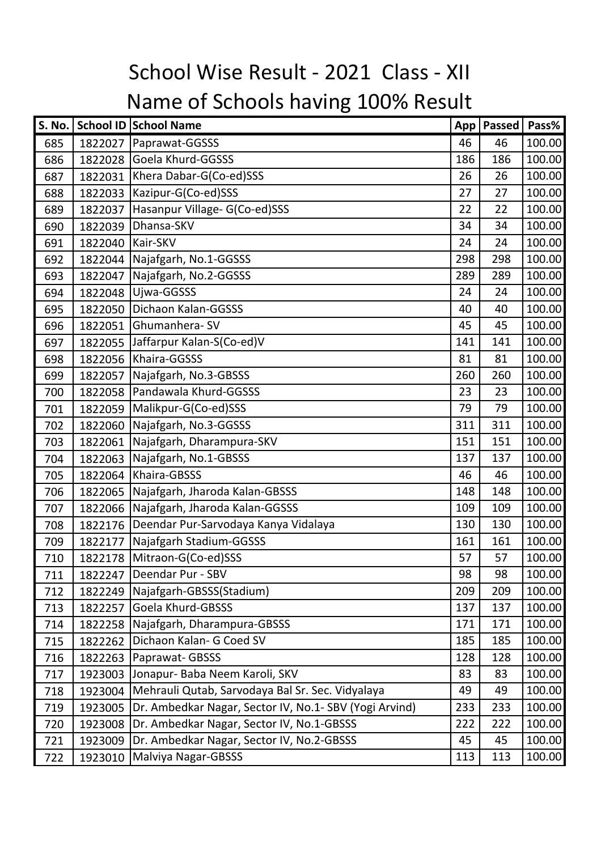| S. No. |         | School ID School Name                                  | App | <b>Passed</b> | Pass%  |
|--------|---------|--------------------------------------------------------|-----|---------------|--------|
| 685    | 1822027 | Paprawat-GGSSS                                         | 46  | 46            | 100.00 |
| 686    | 1822028 | Goela Khurd-GGSSS                                      | 186 | 186           | 100.00 |
| 687    | 1822031 | Khera Dabar-G(Co-ed)SSS                                | 26  | 26            | 100.00 |
| 688    | 1822033 | Kazipur-G(Co-ed)SSS                                    | 27  | 27            | 100.00 |
| 689    | 1822037 | Hasanpur Village- G(Co-ed)SSS                          | 22  | 22            | 100.00 |
| 690    | 1822039 | Dhansa-SKV                                             | 34  | 34            | 100.00 |
| 691    | 1822040 | Kair-SKV                                               | 24  | 24            | 100.00 |
| 692    | 1822044 | Najafgarh, No.1-GGSSS                                  | 298 | 298           | 100.00 |
| 693    | 1822047 | Najafgarh, No.2-GGSSS                                  | 289 | 289           | 100.00 |
| 694    | 1822048 | Ujwa-GGSSS                                             | 24  | 24            | 100.00 |
| 695    | 1822050 | Dichaon Kalan-GGSSS                                    | 40  | 40            | 100.00 |
| 696    | 1822051 | Ghumanhera-SV                                          | 45  | 45            | 100.00 |
| 697    | 1822055 | Jaffarpur Kalan-S(Co-ed)V                              | 141 | 141           | 100.00 |
| 698    | 1822056 | Khaira-GGSSS                                           | 81  | 81            | 100.00 |
| 699    | 1822057 | Najafgarh, No.3-GBSSS                                  | 260 | 260           | 100.00 |
| 700    | 1822058 | Pandawala Khurd-GGSSS                                  | 23  | 23            | 100.00 |
| 701    | 1822059 | Malikpur-G(Co-ed)SSS                                   | 79  | 79            | 100.00 |
| 702    | 1822060 | Najafgarh, No.3-GGSSS                                  | 311 | 311           | 100.00 |
| 703    | 1822061 | Najafgarh, Dharampura-SKV                              | 151 | 151           | 100.00 |
| 704    | 1822063 | Najafgarh, No.1-GBSSS                                  | 137 | 137           | 100.00 |
| 705    | 1822064 | Khaira-GBSSS                                           | 46  | 46            | 100.00 |
| 706    | 1822065 | Najafgarh, Jharoda Kalan-GBSSS                         | 148 | 148           | 100.00 |
| 707    | 1822066 | Najafgarh, Jharoda Kalan-GGSSS                         | 109 | 109           | 100.00 |
| 708    | 1822176 | Deendar Pur-Sarvodaya Kanya Vidalaya                   | 130 | 130           | 100.00 |
| 709    | 1822177 | Najafgarh Stadium-GGSSS                                | 161 | 161           | 100.00 |
| 710    | 1822178 | Mitraon-G(Co-ed)SSS                                    | 57  | 57            | 100.00 |
| 711    | 1822247 | Deendar Pur - SBV                                      | 98  | 98            | 100.00 |
| 712    | 1822249 | Najafgarh-GBSSS(Stadium)                               | 209 | 209           | 100.00 |
| 713    | 1822257 | Goela Khurd-GBSSS                                      | 137 | 137           | 100.00 |
| 714    | 1822258 | Najafgarh, Dharampura-GBSSS                            | 171 | 171           | 100.00 |
| 715    | 1822262 | Dichaon Kalan- G Coed SV                               | 185 | 185           | 100.00 |
| 716    | 1822263 | Paprawat-GBSSS                                         | 128 | 128           | 100.00 |
| 717    | 1923003 | Jonapur- Baba Neem Karoli, SKV                         | 83  | 83            | 100.00 |
| 718    | 1923004 | Mehrauli Qutab, Sarvodaya Bal Sr. Sec. Vidyalaya       | 49  | 49            | 100.00 |
| 719    | 1923005 | Dr. Ambedkar Nagar, Sector IV, No.1- SBV (Yogi Arvind) | 233 | 233           | 100.00 |
| 720    | 1923008 | Dr. Ambedkar Nagar, Sector IV, No.1-GBSSS              | 222 | 222           | 100.00 |
| 721    | 1923009 | Dr. Ambedkar Nagar, Sector IV, No.2-GBSSS              | 45  | 45            | 100.00 |
| 722    | 1923010 | Malviya Nagar-GBSSS                                    | 113 | 113           | 100.00 |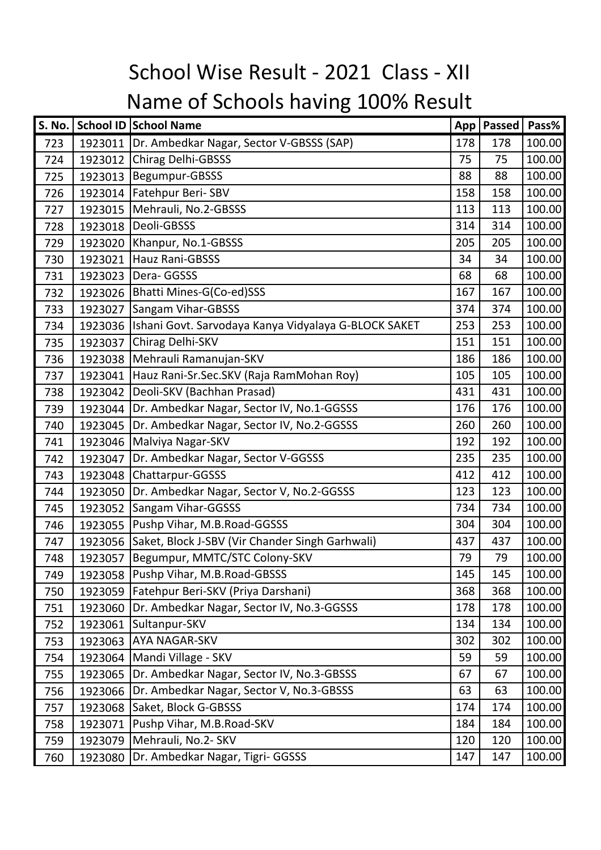| S. No. |         | School ID School Name                                | App | Passed | Pass%  |
|--------|---------|------------------------------------------------------|-----|--------|--------|
| 723    | 1923011 | Dr. Ambedkar Nagar, Sector V-GBSSS (SAP)             | 178 | 178    | 100.00 |
| 724    | 1923012 | <b>Chirag Delhi-GBSSS</b>                            | 75  | 75     | 100.00 |
| 725    | 1923013 | Begumpur-GBSSS                                       | 88  | 88     | 100.00 |
| 726    |         | 1923014   Fatehpur Beri-SBV                          | 158 | 158    | 100.00 |
| 727    | 1923015 | Mehrauli, No.2-GBSSS                                 | 113 | 113    | 100.00 |
| 728    | 1923018 | Deoli-GBSSS                                          | 314 | 314    | 100.00 |
| 729    | 1923020 | Khanpur, No.1-GBSSS                                  | 205 | 205    | 100.00 |
| 730    | 1923021 | Hauz Rani-GBSSS                                      | 34  | 34     | 100.00 |
| 731    | 1923023 | Dera-GGSSS                                           | 68  | 68     | 100.00 |
| 732    | 1923026 | <b>Bhatti Mines-G(Co-ed)SSS</b>                      | 167 | 167    | 100.00 |
| 733    | 1923027 | <b>Sangam Vihar-GBSSS</b>                            | 374 | 374    | 100.00 |
| 734    | 1923036 | Ishani Govt. Sarvodaya Kanya Vidyalaya G-BLOCK SAKET | 253 | 253    | 100.00 |
| 735    | 1923037 | Chirag Delhi-SKV                                     | 151 | 151    | 100.00 |
| 736    | 1923038 | Mehrauli Ramanujan-SKV                               | 186 | 186    | 100.00 |
| 737    | 1923041 | Hauz Rani-Sr.Sec.SKV (Raja RamMohan Roy)             | 105 | 105    | 100.00 |
| 738    | 1923042 | Deoli-SKV (Bachhan Prasad)                           | 431 | 431    | 100.00 |
| 739    | 1923044 | Dr. Ambedkar Nagar, Sector IV, No.1-GGSSS            | 176 | 176    | 100.00 |
| 740    | 1923045 | Dr. Ambedkar Nagar, Sector IV, No.2-GGSSS            | 260 | 260    | 100.00 |
| 741    | 1923046 | Malviya Nagar-SKV                                    | 192 | 192    | 100.00 |
| 742    | 1923047 | Dr. Ambedkar Nagar, Sector V-GGSSS                   | 235 | 235    | 100.00 |
| 743    | 1923048 | Chattarpur-GGSSS                                     | 412 | 412    | 100.00 |
| 744    | 1923050 | Dr. Ambedkar Nagar, Sector V, No.2-GGSSS             | 123 | 123    | 100.00 |
| 745    | 1923052 | Sangam Vihar-GGSSS                                   | 734 | 734    | 100.00 |
| 746    | 1923055 | Pushp Vihar, M.B.Road-GGSSS                          | 304 | 304    | 100.00 |
| 747    | 1923056 | Saket, Block J-SBV (Vir Chander Singh Garhwali)      | 437 | 437    | 100.00 |
| 748    | 1923057 | Begumpur, MMTC/STC Colony-SKV                        | 79  | 79     | 100.00 |
| 749    |         | 1923058   Pushp Vihar, M.B. Road-GBSSS               | 145 | 145    | 100.00 |
| 750    | 1923059 | <b>Fatehpur Beri-SKV (Priya Darshani)</b>            | 368 | 368    | 100.00 |
| 751    | 1923060 | Dr. Ambedkar Nagar, Sector IV, No.3-GGSSS            | 178 | 178    | 100.00 |
| 752    | 1923061 | Sultanpur-SKV                                        | 134 | 134    | 100.00 |
| 753    | 1923063 | <b>AYA NAGAR-SKV</b>                                 | 302 | 302    | 100.00 |
| 754    | 1923064 | Mandi Village - SKV                                  | 59  | 59     | 100.00 |
| 755    | 1923065 | Dr. Ambedkar Nagar, Sector IV, No.3-GBSSS            | 67  | 67     | 100.00 |
| 756    | 1923066 | Dr. Ambedkar Nagar, Sector V, No.3-GBSSS             | 63  | 63     | 100.00 |
| 757    | 1923068 | Saket, Block G-GBSSS                                 | 174 | 174    | 100.00 |
| 758    | 1923071 | Pushp Vihar, M.B.Road-SKV                            | 184 | 184    | 100.00 |
| 759    | 1923079 | Mehrauli, No.2- SKV                                  | 120 | 120    | 100.00 |
| 760    | 1923080 | Dr. Ambedkar Nagar, Tigri- GGSSS                     | 147 | 147    | 100.00 |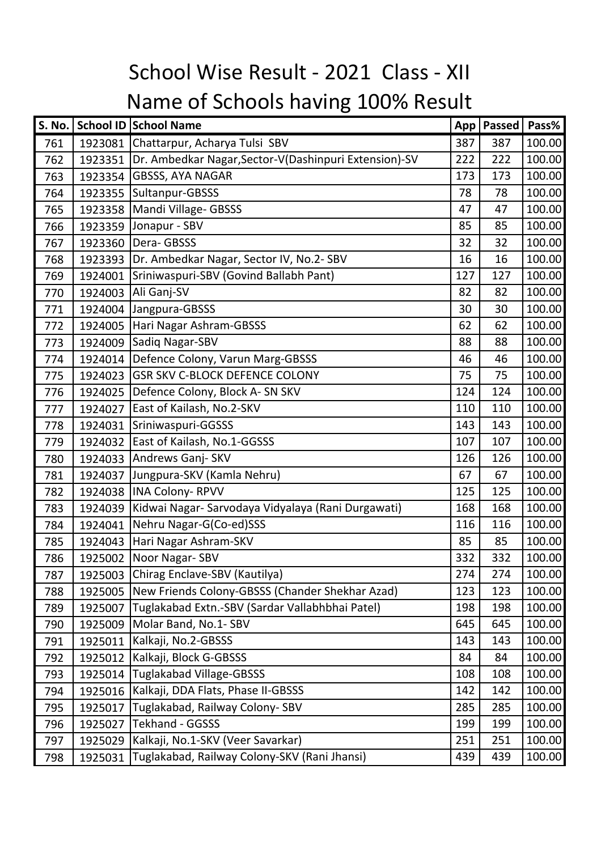| S. No. |         | School ID School Name                                 | App | <b>Passed</b> | Pass%  |
|--------|---------|-------------------------------------------------------|-----|---------------|--------|
| 761    | 1923081 | Chattarpur, Acharya Tulsi SBV                         | 387 | 387           | 100.00 |
| 762    | 1923351 | Dr. Ambedkar Nagar, Sector-V(Dashinpuri Extension)-SV | 222 | 222           | 100.00 |
| 763    | 1923354 | <b>GBSSS, AYA NAGAR</b>                               | 173 | 173           | 100.00 |
| 764    | 1923355 | Sultanpur-GBSSS                                       | 78  | 78            | 100.00 |
| 765    | 1923358 | Mandi Village- GBSSS                                  | 47  | 47            | 100.00 |
| 766    | 1923359 | Jonapur - SBV                                         | 85  | 85            | 100.00 |
| 767    | 1923360 | Dera-GBSSS                                            | 32  | 32            | 100.00 |
| 768    | 1923393 | Dr. Ambedkar Nagar, Sector IV, No.2- SBV              | 16  | 16            | 100.00 |
| 769    | 1924001 | Sriniwaspuri-SBV (Govind Ballabh Pant)                | 127 | 127           | 100.00 |
| 770    | 1924003 | Ali Ganj-SV                                           | 82  | 82            | 100.00 |
| 771    | 1924004 | Jangpura-GBSSS                                        | 30  | 30            | 100.00 |
| 772    | 1924005 | Hari Nagar Ashram-GBSSS                               | 62  | 62            | 100.00 |
| 773    | 1924009 | Sadiq Nagar-SBV                                       | 88  | 88            | 100.00 |
| 774    | 1924014 | Defence Colony, Varun Marg-GBSSS                      | 46  | 46            | 100.00 |
| 775    | 1924023 | <b>GSR SKV C-BLOCK DEFENCE COLONY</b>                 | 75  | 75            | 100.00 |
| 776    | 1924025 | Defence Colony, Block A- SN SKV                       | 124 | 124           | 100.00 |
| 777    | 1924027 | East of Kailash, No.2-SKV                             | 110 | 110           | 100.00 |
| 778    | 1924031 | Sriniwaspuri-GGSSS                                    | 143 | 143           | 100.00 |
| 779    | 1924032 | East of Kailash, No.1-GGSSS                           | 107 | 107           | 100.00 |
| 780    |         | 1924033 Andrews Ganj-SKV                              | 126 | 126           | 100.00 |
| 781    | 1924037 | Jungpura-SKV (Kamla Nehru)                            | 67  | 67            | 100.00 |
| 782    | 1924038 | <b>INA Colony-RPVV</b>                                | 125 | 125           | 100.00 |
| 783    | 1924039 | Kidwai Nagar-Sarvodaya Vidyalaya (Rani Durgawati)     | 168 | 168           | 100.00 |
| 784    | 1924041 | Nehru Nagar-G(Co-ed)SSS                               | 116 | 116           | 100.00 |
| 785    | 1924043 | Hari Nagar Ashram-SKV                                 | 85  | 85            | 100.00 |
| 786    |         | 1925002 Noor Nagar-SBV                                | 332 | 332           | 100.00 |
| 787    | 1925003 | Chirag Enclave-SBV (Kautilya)                         | 274 | 274           | 100.00 |
| 788    | 1925005 | New Friends Colony-GBSSS (Chander Shekhar Azad)       | 123 | 123           | 100.00 |
| 789    | 1925007 | Tuglakabad Extn.-SBV (Sardar Vallabhbhai Patel)       | 198 | 198           | 100.00 |
| 790    | 1925009 | Molar Band, No.1- SBV                                 | 645 | 645           | 100.00 |
| 791    | 1925011 | Kalkaji, No.2-GBSSS                                   | 143 | 143           | 100.00 |
| 792    | 1925012 | Kalkaji, Block G-GBSSS                                | 84  | 84            | 100.00 |
| 793    | 1925014 | <b>Tuglakabad Village-GBSSS</b>                       | 108 | 108           | 100.00 |
| 794    | 1925016 | Kalkaji, DDA Flats, Phase II-GBSSS                    | 142 | 142           | 100.00 |
| 795    | 1925017 | Tuglakabad, Railway Colony-SBV                        | 285 | 285           | 100.00 |
| 796    | 1925027 | Tekhand - GGSSS                                       | 199 | 199           | 100.00 |
| 797    | 1925029 | Kalkaji, No.1-SKV (Veer Savarkar)                     | 251 | 251           | 100.00 |
| 798    | 1925031 | Tuglakabad, Railway Colony-SKV (Rani Jhansi)          | 439 | 439           | 100.00 |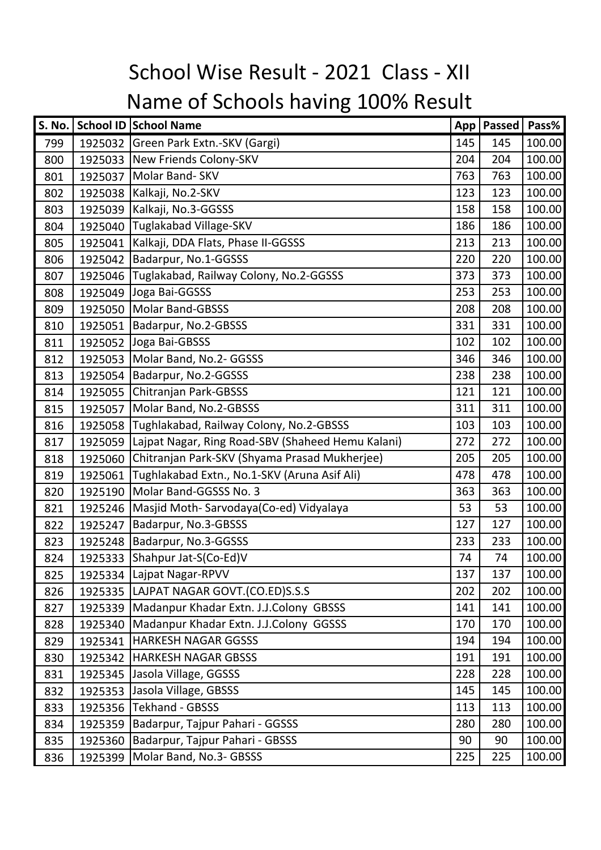| S. No. |         | School ID School Name                             | App | <b>Passed</b> | Pass%  |
|--------|---------|---------------------------------------------------|-----|---------------|--------|
| 799    | 1925032 | Green Park Extn.-SKV (Gargi)                      | 145 | 145           | 100.00 |
| 800    | 1925033 | New Friends Colony-SKV                            | 204 | 204           | 100.00 |
| 801    | 1925037 | Molar Band- SKV                                   | 763 | 763           | 100.00 |
| 802    | 1925038 | Kalkaji, No.2-SKV                                 | 123 | 123           | 100.00 |
| 803    | 1925039 | Kalkaji, No.3-GGSSS                               | 158 | 158           | 100.00 |
| 804    | 1925040 | Tuglakabad Village-SKV                            | 186 | 186           | 100.00 |
| 805    | 1925041 | Kalkaji, DDA Flats, Phase II-GGSSS                | 213 | 213           | 100.00 |
| 806    | 1925042 | Badarpur, No.1-GGSSS                              | 220 | 220           | 100.00 |
| 807    | 1925046 | Tuglakabad, Railway Colony, No.2-GGSSS            | 373 | 373           | 100.00 |
| 808    | 1925049 | Joga Bai-GGSSS                                    | 253 | 253           | 100.00 |
| 809    | 1925050 | <b>Molar Band-GBSSS</b>                           | 208 | 208           | 100.00 |
| 810    | 1925051 | Badarpur, No.2-GBSSS                              | 331 | 331           | 100.00 |
| 811    | 1925052 | Joga Bai-GBSSS                                    | 102 | 102           | 100.00 |
| 812    | 1925053 | Molar Band, No.2- GGSSS                           | 346 | 346           | 100.00 |
| 813    | 1925054 | Badarpur, No.2-GGSSS                              | 238 | 238           | 100.00 |
| 814    | 1925055 | Chitranjan Park-GBSSS                             | 121 | 121           | 100.00 |
| 815    | 1925057 | Molar Band, No.2-GBSSS                            | 311 | 311           | 100.00 |
| 816    | 1925058 | Tughlakabad, Railway Colony, No.2-GBSSS           | 103 | 103           | 100.00 |
| 817    | 1925059 | Lajpat Nagar, Ring Road-SBV (Shaheed Hemu Kalani) | 272 | 272           | 100.00 |
| 818    | 1925060 | Chitranjan Park-SKV (Shyama Prasad Mukherjee)     | 205 | 205           | 100.00 |
| 819    | 1925061 | Tughlakabad Extn., No.1-SKV (Aruna Asif Ali)      | 478 | 478           | 100.00 |
| 820    | 1925190 | Molar Band-GGSSS No. 3                            | 363 | 363           | 100.00 |
| 821    | 1925246 | Masjid Moth-Sarvodaya(Co-ed) Vidyalaya            | 53  | 53            | 100.00 |
| 822    | 1925247 | Badarpur, No.3-GBSSS                              | 127 | 127           | 100.00 |
| 823    | 1925248 | Badarpur, No.3-GGSSS                              | 233 | 233           | 100.00 |
| 824    |         | 1925333 Shahpur Jat-S(Co-Ed)V                     | 74  | 74            | 100.00 |
| 825    |         | 1925334   Lajpat Nagar-RPVV                       | 137 | 137           | 100.00 |
| 826    |         | 1925335  LAJPAT NAGAR GOVT.(CO.ED)S.S.S           | 202 | 202           | 100.00 |
| 827    | 1925339 | Madanpur Khadar Extn. J.J.Colony GBSSS            | 141 | 141           | 100.00 |
| 828    | 1925340 | Madanpur Khadar Extn. J.J.Colony GGSSS            | 170 | 170           | 100.00 |
| 829    | 1925341 | <b>HARKESH NAGAR GGSSS</b>                        | 194 | 194           | 100.00 |
| 830    | 1925342 | <b>HARKESH NAGAR GBSSS</b>                        | 191 | 191           | 100.00 |
| 831    | 1925345 | Jasola Village, GGSSS                             | 228 | 228           | 100.00 |
| 832    | 1925353 | Jasola Village, GBSSS                             | 145 | 145           | 100.00 |
| 833    | 1925356 | Tekhand - GBSSS                                   | 113 | 113           | 100.00 |
| 834    | 1925359 | Badarpur, Tajpur Pahari - GGSSS                   | 280 | 280           | 100.00 |
| 835    | 1925360 | Badarpur, Tajpur Pahari - GBSSS                   | 90  | 90            | 100.00 |
| 836    | 1925399 | Molar Band, No.3- GBSSS                           | 225 | 225           | 100.00 |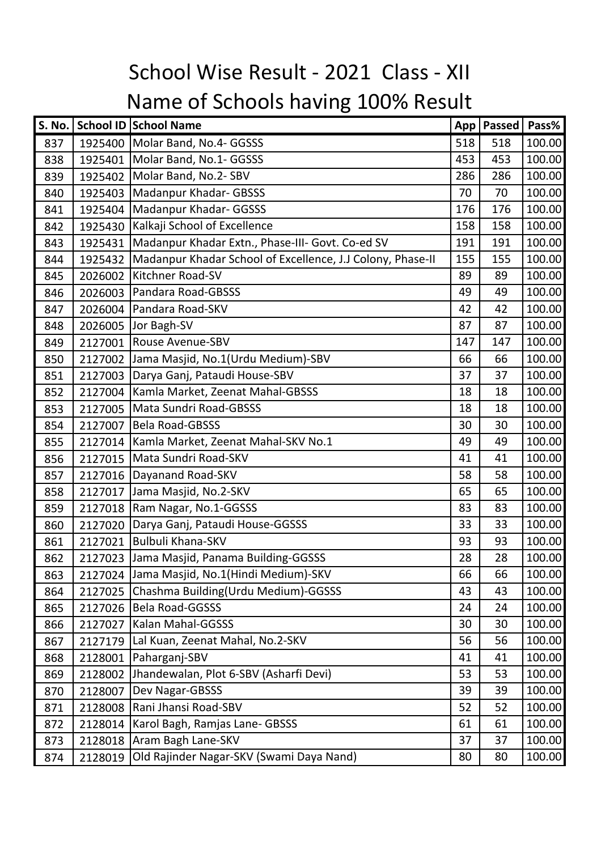| <b>S. No.</b> |         | School ID School Name                                      | App | <b>Passed</b> | Pass%  |
|---------------|---------|------------------------------------------------------------|-----|---------------|--------|
| 837           |         | 1925400 Molar Band, No.4- GGSSS                            | 518 | 518           | 100.00 |
| 838           |         | 1925401   Molar Band, No.1- GGSSS                          | 453 | 453           | 100.00 |
| 839           |         | 1925402 Molar Band, No.2- SBV                              | 286 | 286           | 100.00 |
| 840           |         | 1925403 Madanpur Khadar- GBSSS                             | 70  | 70            | 100.00 |
| 841           |         | 1925404 Madanpur Khadar- GGSSS                             | 176 | 176           | 100.00 |
| 842           | 1925430 | Kalkaji School of Excellence                               | 158 | 158           | 100.00 |
| 843           | 1925431 | Madanpur Khadar Extn., Phase-III- Govt. Co-ed SV           | 191 | 191           | 100.00 |
| 844           | 1925432 | Madanpur Khadar School of Excellence, J.J Colony, Phase-II | 155 | 155           | 100.00 |
| 845           | 2026002 | Kitchner Road-SV                                           | 89  | 89            | 100.00 |
| 846           |         | 2026003   Pandara Road-GBSSS                               | 49  | 49            | 100.00 |
| 847           | 2026004 | Pandara Road-SKV                                           | 42  | 42            | 100.00 |
| 848           |         | 2026005 Jor Bagh-SV                                        | 87  | 87            | 100.00 |
| 849           | 2127001 | <b>Rouse Avenue-SBV</b>                                    | 147 | 147           | 100.00 |
| 850           | 2127002 | Jama Masjid, No.1(Urdu Medium)-SBV                         | 66  | 66            | 100.00 |
| 851           |         | 2127003   Darya Ganj, Pataudi House-SBV                    | 37  | 37            | 100.00 |
| 852           |         | 2127004   Kamla Market, Zeenat Mahal-GBSSS                 | 18  | 18            | 100.00 |
| 853           | 2127005 | Mata Sundri Road-GBSSS                                     | 18  | 18            | 100.00 |
| 854           | 2127007 | <b>Bela Road-GBSSS</b>                                     | 30  | 30            | 100.00 |
| 855           | 2127014 | Kamla Market, Zeenat Mahal-SKV No.1                        | 49  | 49            | 100.00 |
| 856           |         | 2127015   Mata Sundri Road-SKV                             | 41  | 41            | 100.00 |
| 857           | 2127016 | Dayanand Road-SKV                                          | 58  | 58            | 100.00 |
| 858           | 2127017 | Jama Masjid, No.2-SKV                                      | 65  | 65            | 100.00 |
| 859           | 2127018 | Ram Nagar, No.1-GGSSS                                      | 83  | 83            | 100.00 |
| 860           | 2127020 | Darya Ganj, Pataudi House-GGSSS                            | 33  | 33            | 100.00 |
| 861           | 2127021 | <b>Bulbuli Khana-SKV</b>                                   | 93  | 93            | 100.00 |
| 862           |         | 2127023 Jama Masjid, Panama Building-GGSSS                 | 28  | 28            | 100.00 |
| 863           |         | 2127024 Jama Masjid, No.1(Hindi Medium)-SKV                | 66  | 66            | 100.00 |
| 864           | 2127025 | Chashma Building(Urdu Medium)-GGSSS                        | 43  | 43            | 100.00 |
| 865           | 2127026 | <b>Bela Road-GGSSS</b>                                     | 24  | 24            | 100.00 |
| 866           | 2127027 | Kalan Mahal-GGSSS                                          | 30  | 30            | 100.00 |
| 867           | 2127179 | Lal Kuan, Zeenat Mahal, No.2-SKV                           | 56  | 56            | 100.00 |
| 868           | 2128001 | Paharganj-SBV                                              | 41  | 41            | 100.00 |
| 869           | 2128002 | Jhandewalan, Plot 6-SBV (Asharfi Devi)                     | 53  | 53            | 100.00 |
| 870           | 2128007 | Dev Nagar-GBSSS                                            | 39  | 39            | 100.00 |
| 871           | 2128008 | Rani Jhansi Road-SBV                                       | 52  | 52            | 100.00 |
| 872           | 2128014 | Karol Bagh, Ramjas Lane- GBSSS                             | 61  | 61            | 100.00 |
| 873           | 2128018 | Aram Bagh Lane-SKV                                         | 37  | 37            | 100.00 |
| 874           | 2128019 | Old Rajinder Nagar-SKV (Swami Daya Nand)                   | 80  | 80            | 100.00 |